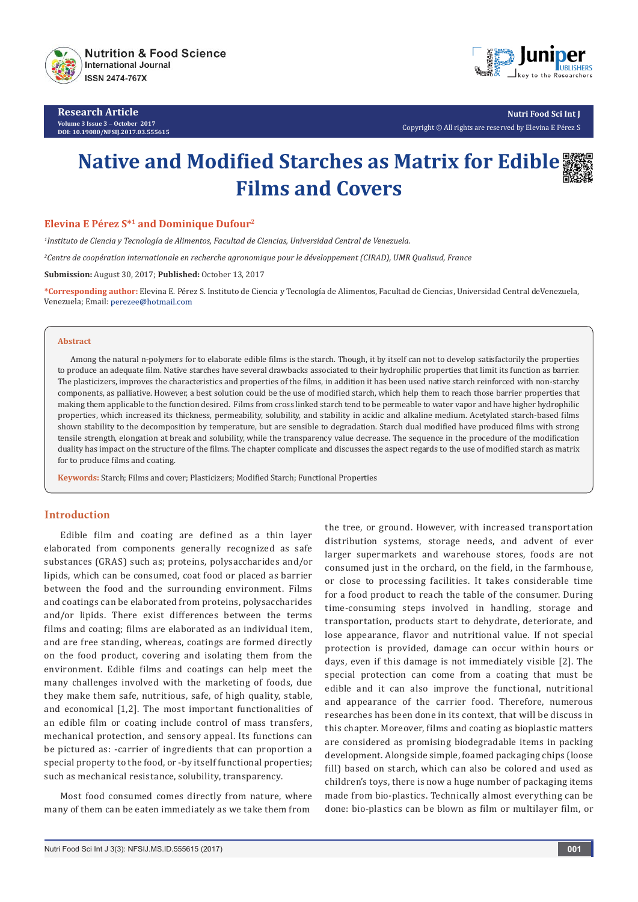

**Research Article Volume 3 Issue 3** - **October 2017 DOI: [10.19080/NFSIJ.2017.03.555615](http://dx.doi.org/10.19080/NFSIJ.2017.03.555615)**



**Nutri Food Sci Int J** Copyright © All rights are reserved by Elevina E Pérez S

# **Native and Modified Starches as Matrix for Edible Films and Covers**

## **Elevina E Pérez S\*<sup>1</sup> and Dominique Dufour<sup>2</sup>**

*1 Instituto de Ciencia y Tecnología de Alimentos, Facultad de Ciencias, Universidad Central de Venezuela.*

*2 Centre de coopération internationale en recherche agronomique pour le développement (CIRAD), UMR Qualisud, France*

**Submission:** August 30, 2017; **Published:** October 13, 2017

**\*Corresponding author:** Elevina E. Pérez S. Instituto de Ciencia y Tecnología de Alimentos, Facultad de Ciencias, Universidad Central deVenezuela, Venezuela; Email: perezee@hotmail.com

#### **Abstract**

Among the natural n-polymers for to elaborate edible films is the starch. Though, it by itself can not to develop satisfactorily the properties to produce an adequate film. Native starches have several drawbacks associated to their hydrophilic properties that limit its function as barrier. The plasticizers, improves the characteristics and properties of the films, in addition it has been used native starch reinforced with non-starchy components, as palliative. However, a best solution could be the use of modified starch, which help them to reach those barrier properties that making them applicable to the function desired. Films from cross linked starch tend to be permeable to water vapor and have higher hydrophilic properties, which increased its thickness, permeability, solubility, and stability in acidic and alkaline medium. Acetylated starch-based films shown stability to the decomposition by temperature, but are sensible to degradation. Starch dual modified have produced films with strong tensile strength, elongation at break and solubility, while the transparency value decrease. The sequence in the procedure of the modification duality has impact on the structure of the films. The chapter complicate and discusses the aspect regards to the use of modified starch as matrix for to produce films and coating.

**Keywords:** Starch; Films and cover; Plasticizers; Modified Starch; Functional Properties

### **Introduction**

Edible film and coating are defined as a thin layer elaborated from components generally recognized as safe substances (GRAS) such as; proteins, polysaccharides and/or lipids, which can be consumed, coat food or placed as barrier between the food and the surrounding environment. Films and coatings can be elaborated from proteins, polysaccharides and/or lipids. There exist differences between the terms films and coating; films are elaborated as an individual item, and are free standing, whereas, coatings are formed directly on the food product, covering and isolating them from the environment. Edible films and coatings can help meet the many challenges involved with the marketing of foods, due they make them safe, nutritious, safe, of high quality, stable, and economical [1,2]. The most important functionalities of an edible film or coating include control of mass transfers, mechanical protection, and sensory appeal. Its functions can be pictured as: -carrier of ingredients that can proportion a special property to the food, or -by itself functional properties; such as mechanical resistance, solubility, transparency.

Most food consumed comes directly from nature, where many of them can be eaten immediately as we take them from

the tree, or ground. However, with increased transportation distribution systems, storage needs, and advent of ever larger supermarkets and warehouse stores, foods are not consumed just in the orchard, on the field, in the farmhouse, or close to processing facilities. It takes considerable time for a food product to reach the table of the consumer. During time-consuming steps involved in handling, storage and transportation, products start to dehydrate, deteriorate, and lose appearance, flavor and nutritional value. If not special protection is provided, damage can occur within hours or days, even if this damage is not immediately visible [2]. The special protection can come from a coating that must be edible and it can also improve the functional, nutritional and appearance of the carrier food. Therefore, numerous researches has been done in its context, that will be discuss in this chapter. Moreover, films and coating as bioplastic matters are considered as promising biodegradable items in packing development. Alongside simple, foamed packaging chips (loose fill) based on starch, which can also be colored and used as children's toys, there is now a huge number of packaging items made from bio-plastics. Technically almost everything can be done: bio-plastics can be blown as film or multilayer film, or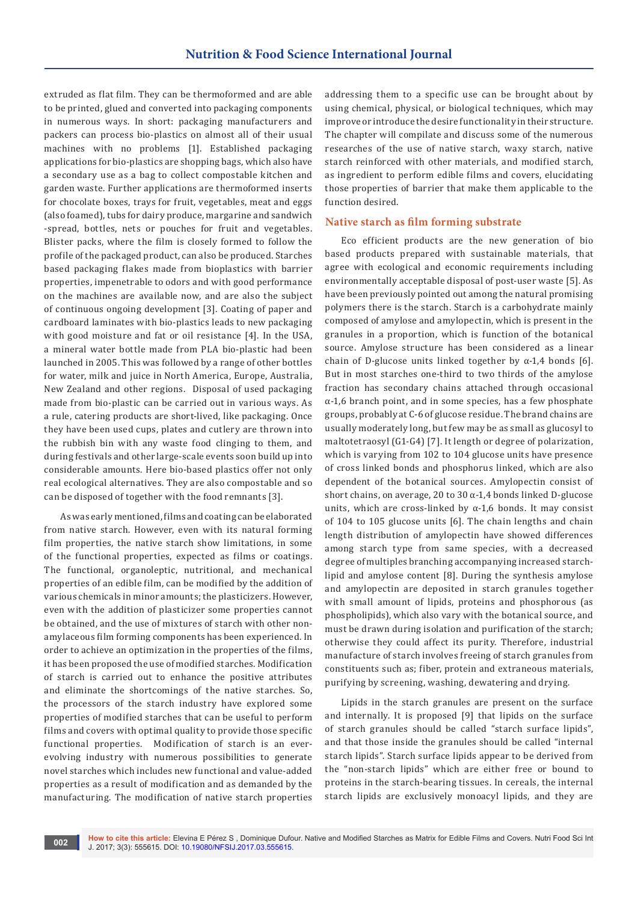extruded as flat film. They can be thermoformed and are able to be printed, glued and converted into packaging components in numerous ways. In short: packaging manufacturers and packers can process bio-plastics on almost all of their usual machines with no problems [1]. Established packaging applications for bio-plastics are shopping bags, which also have a secondary use as a bag to collect compostable kitchen and garden waste. Further applications are thermoformed inserts for chocolate boxes, trays for fruit, vegetables, meat and eggs (also foamed), tubs for dairy produce, margarine and sandwich -spread, bottles, nets or pouches for fruit and vegetables. Blister packs, where the film is closely formed to follow the profile of the packaged product, can also be produced. Starches based packaging flakes made from bioplastics with barrier properties, impenetrable to odors and with good performance on the machines are available now, and are also the subject of continuous ongoing development [3]. Coating of paper and cardboard laminates with bio-plastics leads to new packaging with good moisture and fat or oil resistance [4]. In the USA, a mineral water bottle made from PLA bio-plastic had been launched in 2005. This was followed by a range of other bottles for water, milk and juice in North America, Europe, Australia, New Zealand and other regions. Disposal of used packaging made from bio-plastic can be carried out in various ways. As a rule, catering products are short-lived, like packaging. Once they have been used cups, plates and cutlery are thrown into the rubbish bin with any waste food clinging to them, and during festivals and other large-scale events soon build up into considerable amounts. Here bio-based plastics offer not only real ecological alternatives. They are also compostable and so can be disposed of together with the food remnants [3].

As was early mentioned, films and coating can be elaborated from native starch. However, even with its natural forming film properties, the native starch show limitations, in some of the functional properties, expected as films or coatings. The functional, organoleptic, nutritional, and mechanical properties of an edible film, can be modified by the addition of various chemicals in minor amounts; the plasticizers. However, even with the addition of plasticizer some properties cannot be obtained, and the use of mixtures of starch with other nonamylaceous film forming components has been experienced. In order to achieve an optimization in the properties of the films, it has been proposed the use of modified starches. Modification of starch is carried out to enhance the positive attributes and eliminate the shortcomings of the native starches. So, the processors of the starch industry have explored some properties of modified starches that can be useful to perform films and covers with optimal quality to provide those specific functional properties. Modification of starch is an everevolving industry with numerous possibilities to generate novel starches which includes new functional and value-added properties as a result of modification and as demanded by the manufacturing. The modification of native starch properties

addressing them to a specific use can be brought about by using chemical, physical, or biological techniques, which may improve or introduce the desire functionality in their structure. The chapter will compilate and discuss some of the numerous researches of the use of native starch, waxy starch, native starch reinforced with other materials, and modified starch, as ingredient to perform edible films and covers, elucidating those properties of barrier that make them applicable to the function desired.

#### **Native starch as film forming substrate**

Eco efficient products are the new generation of bio based products prepared with sustainable materials, that agree with ecological and economic requirements including environmentally acceptable disposal of post-user waste [5]. As have been previously pointed out among the natural promising polymers there is the starch. Starch is a carbohydrate mainly composed of amylose and amylopectin, which is present in the granules in a proportion, which is function of the botanical source. Amylose structure has been considered as a linear chain of D-glucose units linked together by  $\alpha$ -1,4 bonds [6]. But in most starches one-third to two thirds of the amylose fraction has secondary chains attached through occasional α-1,6 branch point, and in some species, has a few phosphate groups, probably at C-6 of glucose residue. The brand chains are usually moderately long, but few may be as small as glucosyl to maltotetraosyl (G1-G4) [7]. It length or degree of polarization, which is varying from 102 to 104 glucose units have presence of cross linked bonds and phosphorus linked, which are also dependent of the botanical sources. Amylopectin consist of short chains, on average, 20 to 30  $\alpha$ -1,4 bonds linked D-glucose units, which are cross-linked by  $\alpha$ -1,6 bonds. It may consist of 104 to 105 glucose units [6]. The chain lengths and chain length distribution of amylopectin have showed differences among starch type from same species, with a decreased degree of multiples branching accompanying increased starchlipid and amylose content [8]. During the synthesis amylose and amylopectin are deposited in starch granules together with small amount of lipids, proteins and phosphorous (as phospholipids), which also vary with the botanical source, and must be drawn during isolation and purification of the starch; otherwise they could affect its purity. Therefore, industrial manufacture of starch involves freeing of starch granules from constituents such as; fiber, protein and extraneous materials, purifying by screening, washing, dewatering and drying.

Lipids in the starch granules are present on the surface and internally. It is proposed [9] that lipids on the surface of starch granules should be called "starch surface lipids", and that those inside the granules should be called "internal starch lipids". Starch surface lipids appear to be derived from the "non-starch lipids" which are either free or bound to proteins in the starch-bearing tissues. In cereals, the internal starch lipids are exclusively monoacyl lipids, and they are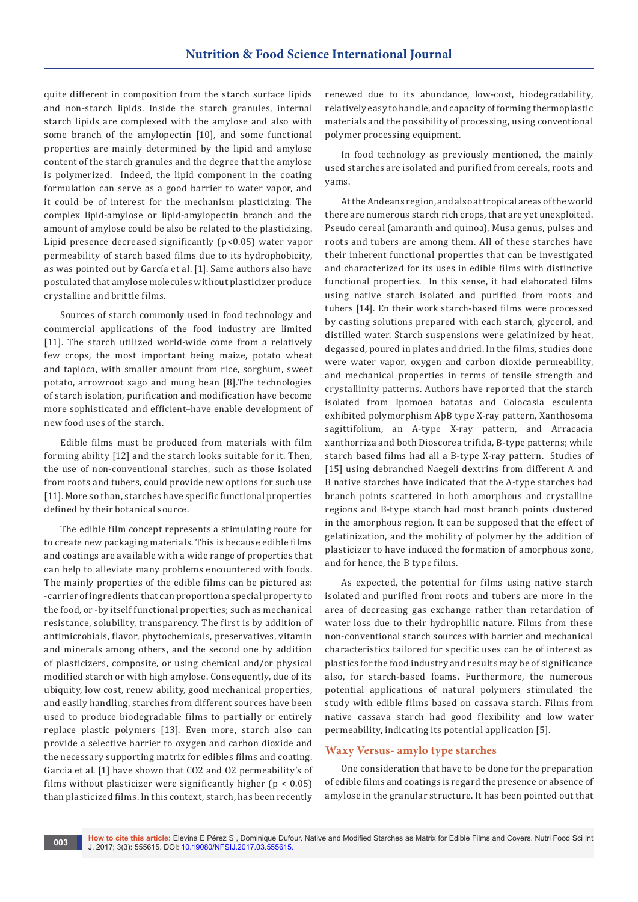quite different in composition from the starch surface lipids and non-starch lipids. Inside the starch granules, internal starch lipids are complexed with the amylose and also with some branch of the amylopectin [10], and some functional properties are mainly determined by the lipid and amylose content of the starch granules and the degree that the amylose is polymerized. Indeed, the lipid component in the coating formulation can serve as a good barrier to water vapor, and it could be of interest for the mechanism plasticizing. The complex lipid-amylose or lipid-amylopectin branch and the amount of amylose could be also be related to the plasticizing. Lipid presence decreased significantly (p<0.05) water vapor permeability of starch based films due to its hydrophobicity, as was pointed out by García et al. [1]. Same authors also have postulated that amylose molecules without plasticizer produce crystalline and brittle films.

Sources of starch commonly used in food technology and commercial applications of the food industry are limited [11]. The starch utilized world-wide come from a relatively few crops, the most important being maize, potato wheat and tapioca, with smaller amount from rice, sorghum, sweet potato, arrowroot sago and mung bean [8].The technologies of starch isolation, purification and modification have become more sophisticated and efficient–have enable development of new food uses of the starch.

Edible films must be produced from materials with film forming ability [12] and the starch looks suitable for it. Then, the use of non-conventional starches, such as those isolated from roots and tubers, could provide new options for such use [11]. More so than, starches have specific functional properties defined by their botanical source.

The edible film concept represents a stimulating route for to create new packaging materials. This is because edible films and coatings are available with a wide range of properties that can help to alleviate many problems encountered with foods. The mainly properties of the edible films can be pictured as: -carrier of ingredients that can proportion a special property to the food, or -by itself functional properties; such as mechanical resistance, solubility, transparency. The first is by addition of antimicrobials, flavor, phytochemicals, preservatives, vitamin and minerals among others, and the second one by addition of plasticizers, composite, or using chemical and/or physical modified starch or with high amylose. Consequently, due of its ubiquity, low cost, renew ability, good mechanical properties, and easily handling, starches from different sources have been used to produce biodegradable films to partially or entirely replace plastic polymers [13]. Even more, starch also can provide a selective barrier to oxygen and carbon dioxide and the necessary supporting matrix for edibles films and coating. Garcia et al. [1] have shown that CO2 and O2 permeability's of films without plasticizer were significantly higher ( $p < 0.05$ ) than plasticized films. In this context, starch, has been recently

renewed due to its abundance, low-cost, biodegradability, relatively easy to handle, and capacity of forming thermoplastic materials and the possibility of processing, using conventional polymer processing equipment.

In food technology as previously mentioned, the mainly used starches are isolated and purified from cereals, roots and yams.

At the Andeans region, and also at tropical areas of the world there are numerous starch rich crops, that are yet unexploited. Pseudo cereal (amaranth and quinoa), Musa genus, pulses and roots and tubers are among them. All of these starches have their inherent functional properties that can be investigated and characterized for its uses in edible films with distinctive functional properties. In this sense, it had elaborated films using native starch isolated and purified from roots and tubers [14]. En their work starch-based films were processed by casting solutions prepared with each starch, glycerol, and distilled water. Starch suspensions were gelatinized by heat, degassed, poured in plates and dried. In the films, studies done were water vapor, oxygen and carbon dioxide permeability, and mechanical properties in terms of tensile strength and crystallinity patterns. Authors have reported that the starch isolated from Ipomoea batatas and Colocasia esculenta exhibited polymorphism AþB type X-ray pattern, Xanthosoma sagittifolium, an A-type X-ray pattern, and Arracacia xanthorriza and both Dioscorea trifida, B-type patterns; while starch based films had all a B-type X-ray pattern. Studies of [15] using debranched Naegeli dextrins from different A and B native starches have indicated that the A-type starches had branch points scattered in both amorphous and crystalline regions and B-type starch had most branch points clustered in the amorphous region. It can be supposed that the effect of gelatinization, and the mobility of polymer by the addition of plasticizer to have induced the formation of amorphous zone, and for hence, the B type films.

As expected, the potential for films using native starch isolated and purified from roots and tubers are more in the area of decreasing gas exchange rather than retardation of water loss due to their hydrophilic nature. Films from these non-conventional starch sources with barrier and mechanical characteristics tailored for specific uses can be of interest as plastics for the food industry and results may be of significance also, for starch-based foams. Furthermore, the numerous potential applications of natural polymers stimulated the study with edible films based on cassava starch. Films from native cassava starch had good flexibility and low water permeability, indicating its potential application [5].

#### **Waxy Versus- amylo type starches**

One consideration that have to be done for the preparation of edible films and coatings is regard the presence or absence of amylose in the granular structure. It has been pointed out that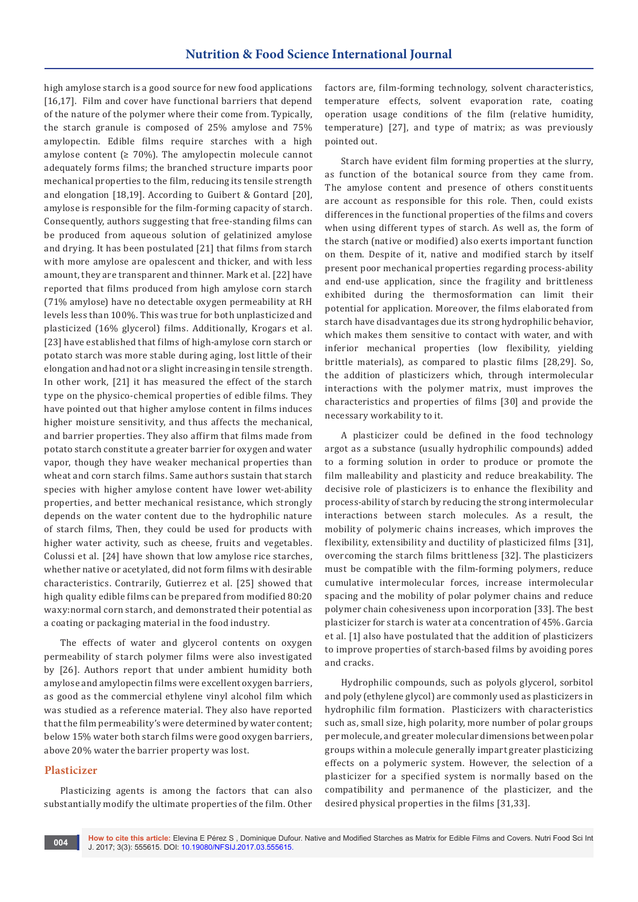high amylose starch is a good source for new food applications [16,17]. Film and cover have functional barriers that depend of the nature of the polymer where their come from. Typically, the starch granule is composed of 25% amylose and 75% amylopectin. Edible films require starches with a high amylose content ( $\geq 70\%$ ). The amylopectin molecule cannot adequately forms films; the branched structure imparts poor mechanical properties to the film, reducing its tensile strength and elongation [18,19]. According to Guibert & Gontard [20], amylose is responsible for the film-forming capacity of starch. Consequently, authors suggesting that free-standing films can be produced from aqueous solution of gelatinized amylose and drying. It has been postulated [21] that films from starch with more amylose are opalescent and thicker, and with less amount, they are transparent and thinner. Mark et al. [22] have reported that films produced from high amylose corn starch (71% amylose) have no detectable oxygen permeability at RH levels less than 100%. This was true for both unplasticized and plasticized (16% glycerol) films. Additionally, Krogars et al. [23] have established that films of high-amylose corn starch or potato starch was more stable during aging, lost little of their elongation and had not or a slight increasing in tensile strength. In other work, [21] it has measured the effect of the starch type on the physico-chemical properties of edible films. They have pointed out that higher amylose content in films induces higher moisture sensitivity, and thus affects the mechanical, and barrier properties. They also affirm that films made from potato starch constitute a greater barrier for oxygen and water vapor, though they have weaker mechanical properties than wheat and corn starch films. Same authors sustain that starch species with higher amylose content have lower wet-ability properties, and better mechanical resistance, which strongly depends on the water content due to the hydrophilic nature of starch films, Then, they could be used for products with higher water activity, such as cheese, fruits and vegetables. Colussi et al. [24] have shown that low amylose rice starches, whether native or acetylated, did not form films with desirable characteristics. Contrarily, Gutierrez et al. [25] showed that high quality edible films can be prepared from modified 80:20 waxy:normal corn starch, and demonstrated their potential as a coating or packaging material in the food industry.

The effects of water and glycerol contents on oxygen permeability of starch polymer films were also investigated by [26]. Authors report that under ambient humidity both amylose and amylopectin films were excellent oxygen barriers, as good as the commercial ethylene vinyl alcohol film which was studied as a reference material. They also have reported that the film permeability's were determined by water content; below 15% water both starch films were good oxygen barriers, above 20% water the barrier property was lost.

### **Plasticizer**

Plasticizing agents is among the factors that can also substantially modify the ultimate properties of the film. Other factors are, film-forming technology, solvent characteristics, temperature effects, solvent evaporation rate, coating operation usage conditions of the film (relative humidity, temperature) [27], and type of matrix; as was previously pointed out.

Starch have evident film forming properties at the slurry, as function of the botanical source from they came from. The amylose content and presence of others constituents are account as responsible for this role. Then, could exists differences in the functional properties of the films and covers when using different types of starch. As well as, the form of the starch (native or modified) also exerts important function on them. Despite of it, native and modified starch by itself present poor mechanical properties regarding process-ability and end-use application, since the fragility and brittleness exhibited during the thermosformation can limit their potential for application. Moreover, the films elaborated from starch have disadvantages due its strong hydrophilic behavior, which makes them sensitive to contact with water, and with inferior mechanical properties (low flexibility, yielding brittle materials), as compared to plastic films [28,29]. So, the addition of plasticizers which, through intermolecular interactions with the polymer matrix, must improves the characteristics and properties of films [30] and provide the necessary workability to it.

A plasticizer could be defined in the food technology argot as a substance (usually hydrophilic compounds) added to a forming solution in order to produce or promote the film malleability and plasticity and reduce breakability. The decisive role of plasticizers is to enhance the flexibility and process-ability of starch by reducing the strong intermolecular interactions between starch molecules. As a result, the mobility of polymeric chains increases, which improves the flexibility, extensibility and ductility of plasticized films [31], overcoming the starch films brittleness [32]. The plasticizers must be compatible with the film-forming polymers, reduce cumulative intermolecular forces, increase intermolecular spacing and the mobility of polar polymer chains and reduce polymer chain cohesiveness upon incorporation [33]. The best plasticizer for starch is water at a concentration of 45%. Garcia et al. [1] also have postulated that the addition of plasticizers to improve properties of starch-based films by avoiding pores and cracks.

Hydrophilic compounds, such as polyols glycerol, sorbitol and poly (ethylene glycol) are commonly used as plasticizers in hydrophilic film formation. Plasticizers with characteristics such as, small size, high polarity, more number of polar groups per molecule, and greater molecular dimensions between polar groups within a molecule generally impart greater plasticizing effects on a polymeric system. However, the selection of a plasticizer for a specified system is normally based on the compatibility and permanence of the plasticizer, and the desired physical properties in the films [31,33].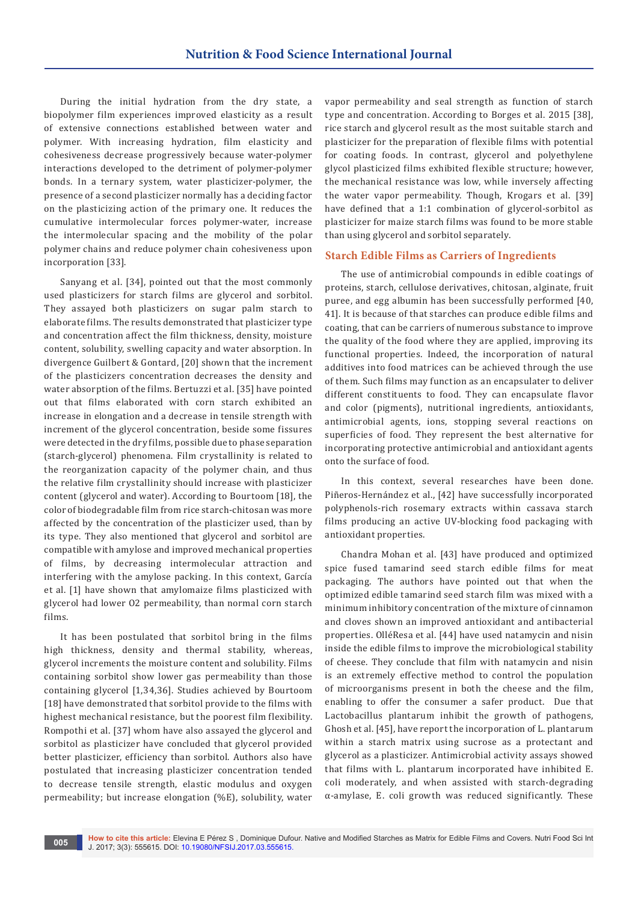During the initial hydration from the dry state, a biopolymer film experiences improved elasticity as a result of extensive connections established between water and polymer. With increasing hydration, film elasticity and cohesiveness decrease progressively because water-polymer interactions developed to the detriment of polymer-polymer bonds. In a ternary system, water plasticizer-polymer, the presence of a second plasticizer normally has a deciding factor on the plasticizing action of the primary one. It reduces the cumulative intermolecular forces polymer-water, increase the intermolecular spacing and the mobility of the polar polymer chains and reduce polymer chain cohesiveness upon incorporation [33].

Sanyang et al. [34], pointed out that the most commonly used plasticizers for starch films are glycerol and sorbitol. They assayed both plasticizers on sugar palm starch to elaborate films. The results demonstrated that plasticizer type and concentration affect the film thickness, density, moisture content, solubility, swelling capacity and water absorption. In divergence Guilbert & Gontard, [20] shown that the increment of the plasticizers concentration decreases the density and water absorption of the films. Bertuzzi et al. [35] have pointed out that films elaborated with corn starch exhibited an increase in elongation and a decrease in tensile strength with increment of the glycerol concentration, beside some fissures were detected in the dry films, possible due to phase separation (starch-glycerol) phenomena. Film crystallinity is related to the reorganization capacity of the polymer chain, and thus the relative film crystallinity should increase with plasticizer content (glycerol and water). According to Bourtoom [18], the color of biodegradable film from rice starch-chitosan was more affected by the concentration of the plasticizer used, than by its type. They also mentioned that glycerol and sorbitol are compatible with amylose and improved mechanical properties of films, by decreasing intermolecular attraction and interfering with the amylose packing. In this context, García et al. [1] have shown that amylomaize films plasticized with glycerol had lower O2 permeability, than normal corn starch films.

It has been postulated that sorbitol bring in the films high thickness, density and thermal stability, whereas, glycerol increments the moisture content and solubility. Films containing sorbitol show lower gas permeability than those containing glycerol [1,34,36]. Studies achieved by Bourtoom [18] have demonstrated that sorbitol provide to the films with highest mechanical resistance, but the poorest film flexibility. Rompothi et al. [37] whom have also assayed the glycerol and sorbitol as plasticizer have concluded that glycerol provided better plasticizer, efficiency than sorbitol. Authors also have postulated that increasing plasticizer concentration tended to decrease tensile strength, elastic modulus and oxygen permeability; but increase elongation (%E), solubility, water

vapor permeability and seal strength as function of starch type and concentration. According to Borges et al. 2015 [38], rice starch and glycerol result as the most suitable starch and plasticizer for the preparation of flexible films with potential for coating foods. In contrast, glycerol and polyethylene glycol plasticized films exhibited flexible structure; however, the mechanical resistance was low, while inversely affecting the water vapor permeability. Though, Krogars et al. [39] have defined that a 1:1 combination of glycerol-sorbitol as plasticizer for maize starch films was found to be more stable than using glycerol and sorbitol separately.

#### **Starch Edible Films as Carriers of Ingredients**

The use of antimicrobial compounds in edible coatings of proteins, starch, cellulose derivatives, chitosan, alginate, fruit puree, and egg albumin has been successfully performed [40, 41]. It is because of that starches can produce edible films and coating, that can be carriers of numerous substance to improve the quality of the food where they are applied, improving its functional properties. Indeed, the incorporation of natural additives into food matrices can be achieved through the use of them. Such films may function as an encapsulater to deliver different constituents to food. They can encapsulate flavor and color (pigments), nutritional ingredients, antioxidants, antimicrobial agents, ions, stopping several reactions on superficies of food. They represent the best alternative for incorporating protective antimicrobial and antioxidant agents onto the surface of food.

In this context, several researches have been done. Piñeros-Hernández et al., [42] have successfully incorporated polyphenols-rich rosemary extracts within cassava starch films producing an active UV-blocking food packaging with antioxidant properties.

Chandra Mohan et al. [43] have produced and optimized spice fused tamarind seed starch edible films for meat packaging. The authors have pointed out that when the optimized edible tamarind seed starch film was mixed with a minimum inhibitory concentration of the mixture of cinnamon and cloves shown an improved antioxidant and antibacterial properties. OlléResa et al. [44] have used natamycin and nisin inside the edible films to improve the microbiological stability of cheese. They conclude that film with natamycin and nisin is an extremely effective method to control the population of microorganisms present in both the cheese and the film, enabling to offer the consumer a safer product. Due that Lactobacillus plantarum inhibit the growth of pathogens, Ghosh et al. [45], have report the incorporation of L. plantarum within a starch matrix using sucrose as a protectant and glycerol as a plasticizer. Antimicrobial activity assays showed that films with L. plantarum incorporated have inhibited E. coli moderately, and when assisted with starch-degrading α-amylase, E. coli growth was reduced significantly. These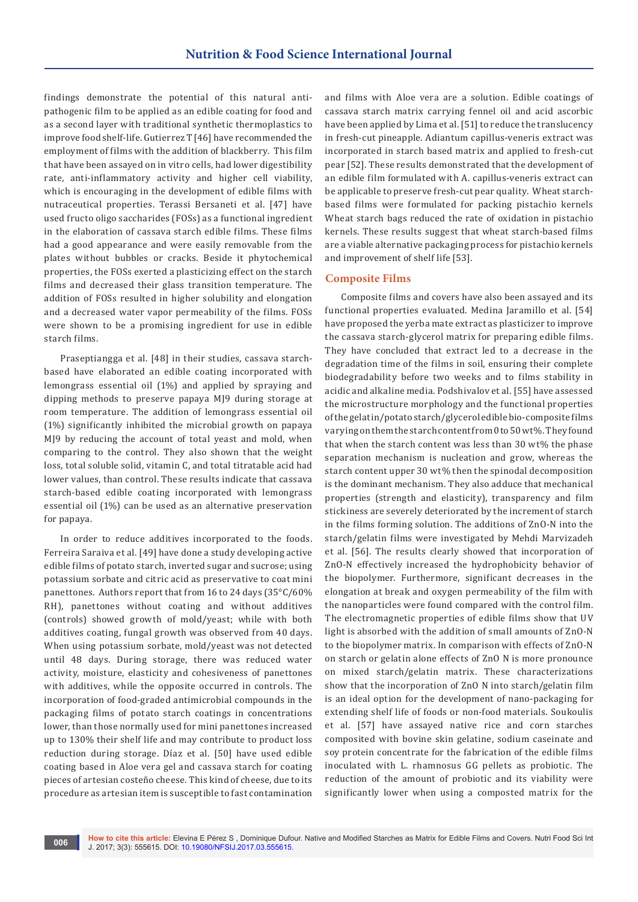findings demonstrate the potential of this natural antipathogenic film to be applied as an edible coating for food and as a second layer with traditional synthetic thermoplastics to improve food shelf-life. Gutierrez T [46] have recommended the employment of films with the addition of blackberry. This film that have been assayed on in vitro cells, had lower digestibility rate, anti-inflammatory activity and higher cell viability, which is encouraging in the development of edible films with nutraceutical properties. Terassi Bersaneti et al. [47] have used fructo oligo saccharides (FOSs) as a functional ingredient in the elaboration of cassava starch edible films. These films had a good appearance and were easily removable from the plates without bubbles or cracks. Beside it phytochemical properties, the FOSs exerted a plasticizing effect on the starch films and decreased their glass transition temperature. The addition of FOSs resulted in higher solubility and elongation and a decreased water vapor permeability of the films. FOSs were shown to be a promising ingredient for use in edible starch films.

Praseptiangga et al. [48] in their studies, cassava starchbased have elaborated an edible coating incorporated with lemongrass essential oil (1%) and applied by spraying and dipping methods to preserve papaya MJ9 during storage at room temperature. The addition of lemongrass essential oil (1%) significantly inhibited the microbial growth on papaya MJ9 by reducing the account of total yeast and mold, when comparing to the control. They also shown that the weight loss, total soluble solid, vitamin C, and total titratable acid had lower values, than control. These results indicate that cassava starch-based edible coating incorporated with lemongrass essential oil (1%) can be used as an alternative preservation for papaya.

In order to reduce additives incorporated to the foods. Ferreira Saraiva et al. [49] have done a study developing active edible films of potato starch, inverted sugar and sucrose; using potassium sorbate and citric acid as preservative to coat mini panettones. Authors report that from 16 to 24 days (35°C/60% RH), panettones without coating and without additives (controls) showed growth of mold/yeast; while with both additives coating, fungal growth was observed from 40 days. When using potassium sorbate, mold/yeast was not detected until 48 days. During storage, there was reduced water activity, moisture, elasticity and cohesiveness of panettones with additives, while the opposite occurred in controls. The incorporation of food-graded antimicrobial compounds in the packaging films of potato starch coatings in concentrations lower, than those normally used for mini panettones increased up to 130% their shelf life and may contribute to product loss reduction during storage. Díaz et al. [50] have used edible coating based in Aloe vera gel and cassava starch for coating pieces of artesian costeño cheese. This kind of cheese, due to its procedure as artesian item is susceptible to fast contamination

and films with Aloe vera are a solution. Edible coatings of cassava starch matrix carrying fennel oil and acid ascorbic have been applied by Lima et al. [51] to reduce the translucency in fresh-cut pineapple. Adiantum capillus-veneris extract was incorporated in starch based matrix and applied to fresh-cut pear [52]. These results demonstrated that the development of an edible film formulated with A. capillus-veneris extract can be applicable to preserve fresh-cut pear quality. Wheat starchbased films were formulated for packing pistachio kernels Wheat starch bags reduced the rate of oxidation in pistachio kernels. These results suggest that wheat starch-based films are a viable alternative packaging process for pistachio kernels and improvement of shelf life [53].

### **Composite Films**

Composite films and covers have also been assayed and its functional properties evaluated. Medina Jaramillo et al. [54] have proposed the yerba mate extract as plasticizer to improve the cassava starch-glycerol matrix for preparing edible films. They have concluded that extract led to a decrease in the degradation time of the films in soil, ensuring their complete biodegradability before two weeks and to films stability in acidic and alkaline media. Podshivalov et al. [55] have assessed the microstructure morphology and the functional properties of the gelatin/potato starch/glycerol edible bio-composite films varying on them the starch content from 0 to 50 wt%. They found that when the starch content was less than 30 wt% the phase separation mechanism is nucleation and grow, whereas the starch content upper 30 wt% then the spinodal decomposition is the dominant mechanism. They also adduce that mechanical properties (strength and elasticity), transparency and film stickiness are severely deteriorated by the increment of starch in the films forming solution. The additions of ZnO-N into the starch/gelatin films were investigated by Mehdi Marvizadeh et al. [56]. The results clearly showed that incorporation of ZnO-N effectively increased the hydrophobicity behavior of the biopolymer. Furthermore, significant decreases in the elongation at break and oxygen permeability of the film with the nanoparticles were found compared with the control film. The electromagnetic properties of edible films show that UV light is absorbed with the addition of small amounts of ZnO-N to the biopolymer matrix. In comparison with effects of ZnO-N on starch or gelatin alone effects of ZnO N is more pronounce on mixed starch/gelatin matrix. These characterizations show that the incorporation of ZnO N into starch/gelatin film is an ideal option for the development of nano-packaging for extending shelf life of foods or non-food materials. Soukoulis et al. [57] have assayed native rice and corn starches composited with bovine skin gelatine, sodium caseinate and soy protein concentrate for the fabrication of the edible films inoculated with L. rhamnosus GG pellets as probiotic. The reduction of the amount of probiotic and its viability were significantly lower when using a composted matrix for the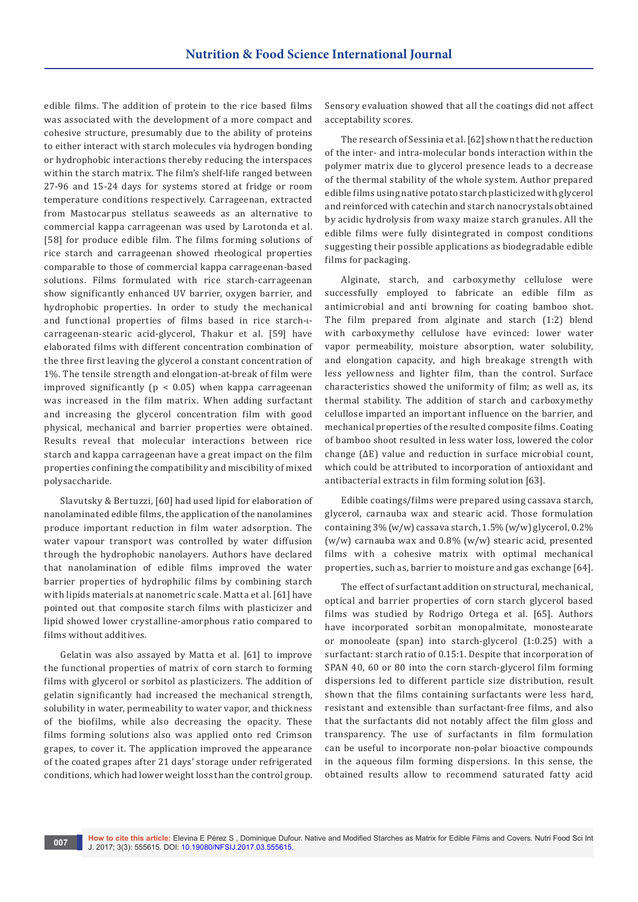edible films. The addition of protein to the rice based films was associated with the development of a more compact and cohesive structure, presumably due to the ability of proteins to either interact with starch molecules via hydrogen bonding or hydrophobic interactions thereby reducing the interspaces within the starch matrix. The film's shelf-life ranged between 27-96 and 15-24 days for systems stored at fridge or room temperature conditions respectively. Carrageenan, extracted from Mastocarpus stellatus seaweeds as an alternative to commercial kappa carrageenan was used by Larotonda et al. [58] for produce edible film. The films forming solutions of rice starch and carrageenan showed rheological properties comparable to those of commercial kappa carrageenan-based solutions. Films formulated with rice starch-carrageenan show significantly enhanced UV barrier, oxygen barrier, and hydrophobic properties. In order to study the mechanical and functional properties of films based in rice starch-ιcarrageenan-stearic acid-glycerol, Thakur et al. [59] have elaborated films with different concentration combination of the three first leaving the glycerol a constant concentration of 1%. The tensile strength and elongation-at-break of film were improved significantly ( $p < 0.05$ ) when kappa carrageenan was increased in the film matrix. When adding surfactant and increasing the glycerol concentration film with good physical, mechanical and barrier properties were obtained. Results reveal that molecular interactions between rice starch and kappa carrageenan have a great impact on the film properties confining the compatibility and miscibility of mixed polysaccharide.

Slavutsky & Bertuzzi, [60] had used lipid for elaboration of nanolaminated edible films, the application of the nanolamines produce important reduction in film water adsorption. The water vapour transport was controlled by water diffusion through the hydrophobic nanolayers. Authors have declared that nanolamination of edible films improved the water barrier properties of hydrophilic films by combining starch with lipids materials at nanometric scale. Matta et al. [61] have pointed out that composite starch films with plasticizer and lipid showed lower crystalline-amorphous ratio compared to films without additives.

Gelatin was also assayed by Matta et al. [61] to improve the functional properties of matrix of corn starch to forming films with glycerol or sorbitol as plasticizers. The addition of gelatin significantly had increased the mechanical strength, solubility in water, permeability to water vapor, and thickness of the biofilms, while also decreasing the opacity. These films forming solutions also was applied onto red Crimson grapes, to cover it. The application improved the appearance of the coated grapes after 21 days' storage under refrigerated conditions, which had lower weight loss than the control group. Sensory evaluation showed that all the coatings did not affect acceptability scores.

The research of Sessinia et al. [62] shown that the reduction of the inter- and intra-molecular bonds interaction within the polymer matrix due to glycerol presence leads to a decrease of the thermal stability of the whole system. Author prepared edible films using native potato starch plasticized with glycerol and reinforced with catechin and starch nanocrystals obtained by acidic hydrolysis from waxy maize starch granules. All the edible films were fully disintegrated in compost conditions suggesting their possible applications as biodegradable edible films for packaging.

Alginate, starch, and carboxymethy cellulose were successfully employed to fabricate an edible film as antimicrobial and anti browning for coating bamboo shot. The film prepared from alginate and starch (1:2) blend with carboxymethy cellulose have evinced: lower water vapor permeability, moisture absorption, water solubility, and elongation capacity, and high breakage strength with less yellowness and lighter film, than the control. Surface characteristics showed the uniformity of film; as well as, its thermal stability. The addition of starch and carboxymethy celullose imparted an important influence on the barrier, and mechanical properties of the resulted composite films. Coating of bamboo shoot resulted in less water loss, lowered the color change (ΔE) value and reduction in surface microbial count, which could be attributed to incorporation of antioxidant and antibacterial extracts in film forming solution [63].

Edible coatings/films were prepared using cassava starch, glycerol, carnauba wax and stearic acid. Those formulation containing 3% (w/w) cassava starch, 1.5% (w/w) glycerol, 0.2% (w/w) carnauba wax and 0.8% (w/w) stearic acid, presented films with a cohesive matrix with optimal mechanical properties, such as, barrier to moisture and gas exchange [64].

The effect of surfactant addition on structural, mechanical, optical and barrier properties of corn starch glycerol based films was studied by Rodrigo Ortega et al. [65]. Authors have incorporated sorbitan monopalmitate, monostearate or monooleate (span) into starch-glycerol (1:0.25) with a surfactant: starch ratio of 0.15:1. Despite that incorporation of SPAN 40, 60 or 80 into the corn starch-glycerol film forming dispersions led to different particle size distribution, result shown that the films containing surfactants were less hard, resistant and extensible than surfactant-free films, and also that the surfactants did not notably affect the film gloss and transparency. The use of surfactants in film formulation can be useful to incorporate non-polar bioactive compounds in the aqueous film forming dispersions. In this sense, the obtained results allow to recommend saturated fatty acid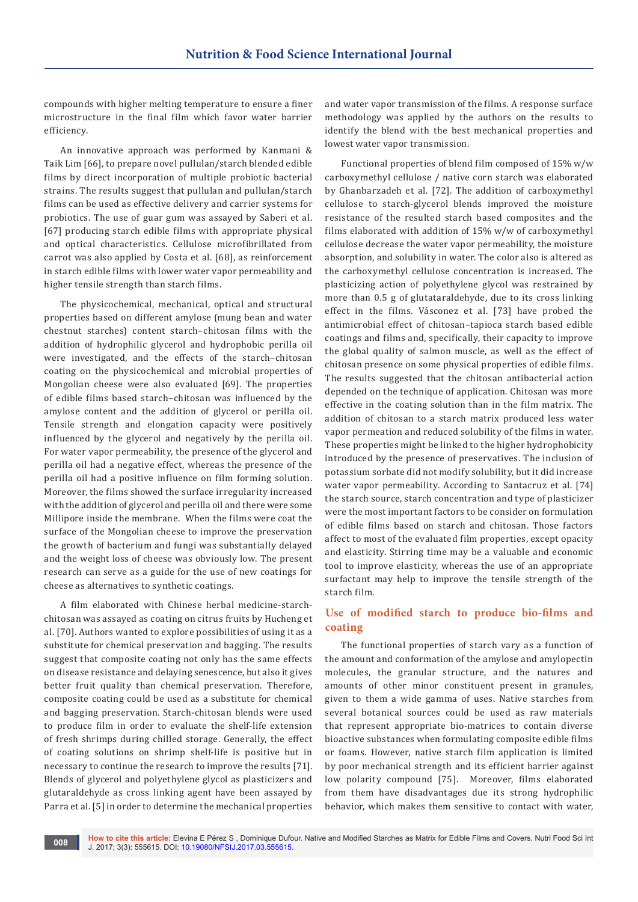compounds with higher melting temperature to ensure a finer microstructure in the final film which favor water barrier efficiency.

An innovative approach was performed by Kanmani & Taik Lim [66], to prepare novel pullulan/starch blended edible films by direct incorporation of multiple probiotic bacterial strains. The results suggest that pullulan and pullulan/starch films can be used as effective delivery and carrier systems for probiotics. The use of guar gum was assayed by Saberi et al. [67] producing starch edible films with appropriate physical and optical characteristics. Cellulose microfibrillated from carrot was also applied by Costa et al. [68], as reinforcement in starch edible films with lower water vapor permeability and higher tensile strength than starch films.

The physicochemical, mechanical, optical and structural properties based on different amylose (mung bean and water chestnut starches) content starch–chitosan films with the addition of hydrophilic glycerol and hydrophobic perilla oil were investigated, and the effects of the starch–chitosan coating on the physicochemical and microbial properties of Mongolian cheese were also evaluated [69]. The properties of edible films based starch–chitosan was influenced by the amylose content and the addition of glycerol or perilla oil. Tensile strength and elongation capacity were positively influenced by the glycerol and negatively by the perilla oil. For water vapor permeability, the presence of the glycerol and perilla oil had a negative effect, whereas the presence of the perilla oil had a positive influence on film forming solution. Moreover, the films showed the surface irregularity increased with the addition of glycerol and perilla oil and there were some Millipore inside the membrane. When the films were coat the surface of the Mongolian cheese to improve the preservation the growth of bacterium and fungi was substantially delayed and the weight loss of cheese was obviously low. The present research can serve as a guide for the use of new coatings for cheese as alternatives to synthetic coatings.

A film elaborated with Chinese herbal medicine-starchchitosan was assayed as coating on citrus fruits by Hucheng et al. [70]. Authors wanted to explore possibilities of using it as a substitute for chemical preservation and bagging. The results suggest that composite coating not only has the same effects on disease resistance and delaying senescence, but also it gives better fruit quality than chemical preservation. Therefore, composite coating could be used as a substitute for chemical and bagging preservation. Starch-chitosan blends were used to produce film in order to evaluate the shelf-life extension of fresh shrimps during chilled storage. Generally, the effect of coating solutions on shrimp shelf-life is positive but in necessary to continue the research to improve the results [71]. Blends of glycerol and polyethylene glycol as plasticizers and glutaraldehyde as cross linking agent have been assayed by Parra et al. [5] in order to determine the mechanical properties

and water vapor transmission of the films. A response surface methodology was applied by the authors on the results to identify the blend with the best mechanical properties and lowest water vapor transmission.

Functional properties of blend film composed of 15% w/w carboxymethyl cellulose / native corn starch was elaborated by Ghanbarzadeh et al. [72]. The addition of carboxymethyl cellulose to starch-glycerol blends improved the moisture resistance of the resulted starch based composites and the films elaborated with addition of 15% w/w of carboxymethyl cellulose decrease the water vapor permeability, the moisture absorption, and solubility in water. The color also is altered as the carboxymethyl cellulose concentration is increased. The plasticizing action of polyethylene glycol was restrained by more than 0.5 g of glutataraldehyde, due to its cross linking effect in the films. Vásconez et al. [73] have probed the antimicrobial effect of chitosan–tapioca starch based edible coatings and films and, specifically, their capacity to improve the global quality of salmon muscle, as well as the effect of chitosan presence on some physical properties of edible films. The results suggested that the chitosan antibacterial action depended on the technique of application. Chitosan was more effective in the coating solution than in the film matrix. The addition of chitosan to a starch matrix produced less water vapor permeation and reduced solubility of the films in water. These properties might be linked to the higher hydrophobicity introduced by the presence of preservatives. The inclusion of potassium sorbate did not modify solubility, but it did increase water vapor permeability. According to Santacruz et al. [74] the starch source, starch concentration and type of plasticizer were the most important factors to be consider on formulation of edible films based on starch and chitosan. Those factors affect to most of the evaluated film properties, except opacity and elasticity. Stirring time may be a valuable and economic tool to improve elasticity, whereas the use of an appropriate surfactant may help to improve the tensile strength of the starch film.

## **Use of modified starch to produce bio-films and coating**

The functional properties of starch vary as a function of the amount and conformation of the amylose and amylopectin molecules, the granular structure, and the natures and amounts of other minor constituent present in granules, given to them a wide gamma of uses. Native starches from several botanical sources could be used as raw materials that represent appropriate bio-matrices to contain diverse bioactive substances when formulating composite edible films or foams. However, native starch film application is limited by poor mechanical strength and its efficient barrier against low polarity compound [75]. Moreover, films elaborated from them have disadvantages due its strong hydrophilic behavior, which makes them sensitive to contact with water,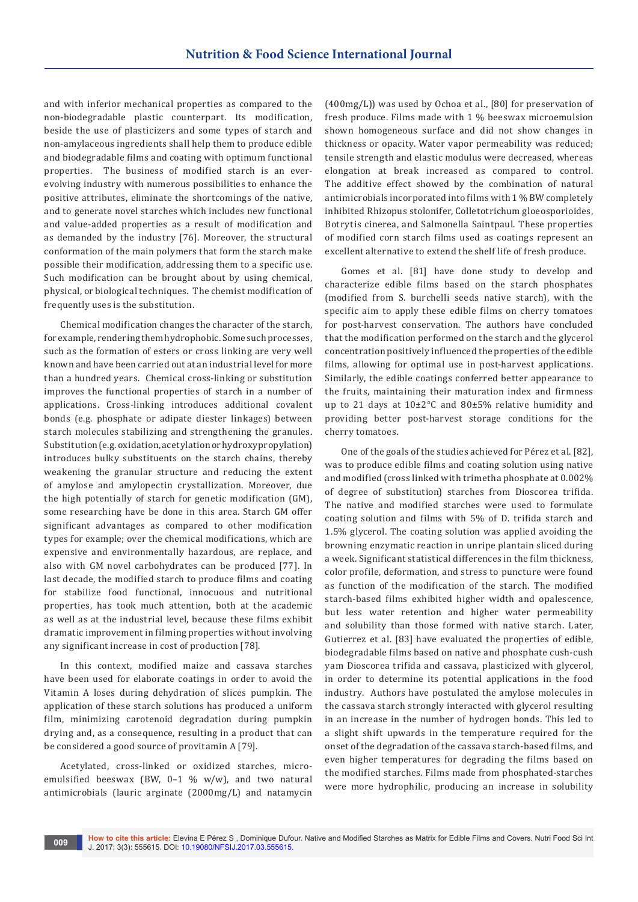and with inferior mechanical properties as compared to the non-biodegradable plastic counterpart. Its modification, beside the use of plasticizers and some types of starch and non-amylaceous ingredients shall help them to produce edible and biodegradable films and coating with optimum functional properties. The business of modified starch is an everevolving industry with numerous possibilities to enhance the positive attributes, eliminate the shortcomings of the native, and to generate novel starches which includes new functional and value-added properties as a result of modification and as demanded by the industry [76]. Moreover, the structural conformation of the main polymers that form the starch make possible their modification, addressing them to a specific use. Such modification can be brought about by using chemical, physical, or biological techniques. The chemist modification of frequently uses is the substitution.

Chemical modification changes the character of the starch, for example, rendering them hydrophobic. Some such processes, such as the formation of esters or cross linking are very well known and have been carried out at an industrial level for more than a hundred years. Chemical cross-linking or substitution improves the functional properties of starch in a number of applications. Cross-linking introduces additional covalent bonds (e.g. phosphate or adipate diester linkages) between starch molecules stabilizing and strengthening the granules. Substitution (e.g. oxidation, acetylation or hydroxypropylation) introduces bulky substituents on the starch chains, thereby weakening the granular structure and reducing the extent of amylose and amylopectin crystallization. Moreover, due the high potentially of starch for genetic modification (GM), some researching have be done in this area. Starch GM offer significant advantages as compared to other modification types for example; over the chemical modifications, which are expensive and environmentally hazardous, are replace, and also with GM novel carbohydrates can be produced [77]. In last decade, the modified starch to produce films and coating for stabilize food functional, innocuous and nutritional properties, has took much attention, both at the academic as well as at the industrial level, because these films exhibit dramatic improvement in filming properties without involving any significant increase in cost of production [78].

In this context, modified maize and cassava starches have been used for elaborate coatings in order to avoid the Vitamin A loses during dehydration of slices pumpkin. The application of these starch solutions has produced a uniform film, minimizing carotenoid degradation during pumpkin drying and, as a consequence, resulting in a product that can be considered a good source of provitamin A [79].

Acetylated, cross-linked or oxidized starches, microemulsified beeswax (BW, 0–1 % w/w), and two natural antimicrobials (lauric arginate (2000mg/L) and natamycin

(400mg/L)) was used by Ochoa et al., [80] for preservation of fresh produce. Films made with 1 % beeswax microemulsion shown homogeneous surface and did not show changes in thickness or opacity. Water vapor permeability was reduced; tensile strength and elastic modulus were decreased, whereas elongation at break increased as compared to control. The additive effect showed by the combination of natural antimicrobials incorporated into films with 1 % BW completely inhibited Rhizopus stolonifer, Colletotrichum gloeosporioides, Botrytis cinerea, and Salmonella Saintpaul. These properties of modified corn starch films used as coatings represent an excellent alternative to extend the shelf life of fresh produce.

Gomes et al. [81] have done study to develop and characterize edible films based on the starch phosphates (modified from S. burchelli seeds native starch), with the specific aim to apply these edible films on cherry tomatoes for post-harvest conservation. The authors have concluded that the modification performed on the starch and the glycerol concentration positively influenced the properties of the edible films, allowing for optimal use in post-harvest applications. Similarly, the edible coatings conferred better appearance to the fruits, maintaining their maturation index and firmness up to 21 days at 10±2°C and 80±5% relative humidity and providing better post-harvest storage conditions for the cherry tomatoes.

One of the goals of the studies achieved for Pérez et al. [82], was to produce edible films and coating solution using native and modified (cross linked with trimetha phosphate at 0.002% of degree of substitution) starches from Dioscorea trifida. The native and modified starches were used to formulate coating solution and films with 5% of D. trifida starch and 1.5% glycerol. The coating solution was applied avoiding the browning enzymatic reaction in unripe plantain sliced during a week. Significant statistical differences in the film thickness, color profile, deformation, and stress to puncture were found as function of the modification of the starch. The modified starch-based films exhibited higher width and opalescence, but less water retention and higher water permeability and solubility than those formed with native starch. Later, Gutierrez et al. [83] have evaluated the properties of edible, biodegradable films based on native and phosphate cush-cush yam Dioscorea trifida and cassava, plasticized with glycerol, in order to determine its potential applications in the food industry. Authors have postulated the amylose molecules in the cassava starch strongly interacted with glycerol resulting in an increase in the number of hydrogen bonds. This led to a slight shift upwards in the temperature required for the onset of the degradation of the cassava starch-based films, and even higher temperatures for degrading the films based on the modified starches. Films made from phosphated-starches were more hydrophilic, producing an increase in solubility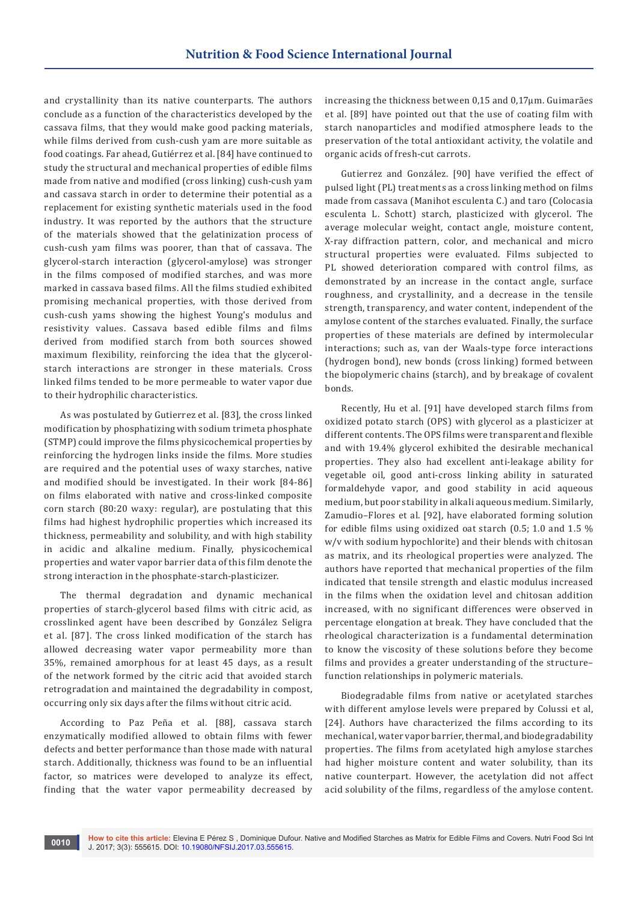and crystallinity than its native counterparts. The authors conclude as a function of the characteristics developed by the cassava films, that they would make good packing materials, while films derived from cush-cush yam are more suitable as food coatings. Far ahead, Gutiérrez et al. [84] have continued to study the structural and mechanical properties of edible films made from native and modified (cross linking) cush-cush yam and cassava starch in order to determine their potential as a replacement for existing synthetic materials used in the food industry. It was reported by the authors that the structure of the materials showed that the gelatinization process of cush-cush yam films was poorer, than that of cassava. The glycerol-starch interaction (glycerol-amylose) was stronger in the films composed of modified starches, and was more marked in cassava based films. All the films studied exhibited promising mechanical properties, with those derived from cush-cush yams showing the highest Young's modulus and resistivity values. Cassava based edible films and films derived from modified starch from both sources showed maximum flexibility, reinforcing the idea that the glycerolstarch interactions are stronger in these materials. Cross linked films tended to be more permeable to water vapor due to their hydrophilic characteristics.

As was postulated by Gutierrez et al. [83], the cross linked modification by phosphatizing with sodium trimeta phosphate (STMP) could improve the films physicochemical properties by reinforcing the hydrogen links inside the films. More studies are required and the potential uses of waxy starches, native and modified should be investigated. In their work [84-86] on films elaborated with native and cross-linked composite corn starch (80:20 waxy: regular), are postulating that this films had highest hydrophilic properties which increased its thickness, permeability and solubility, and with high stability in acidic and alkaline medium. Finally, physicochemical properties and water vapor barrier data of this film denote the strong interaction in the phosphate-starch-plasticizer.

The thermal degradation and dynamic mechanical properties of starch-glycerol based films with citric acid, as crosslinked agent have been described by González Seligra et al. [87]. The cross linked modification of the starch has allowed decreasing water vapor permeability more than 35%, remained amorphous for at least 45 days, as a result of the network formed by the citric acid that avoided starch retrogradation and maintained the degradability in compost, occurring only six days after the films without citric acid.

According to Paz Peña et al. [88], cassava starch enzymatically modified allowed to obtain films with fewer defects and better performance than those made with natural starch. Additionally, thickness was found to be an influential factor, so matrices were developed to analyze its effect, finding that the water vapor permeability decreased by

increasing the thickness between 0,15 and 0,17μm. Guimarães et al. [89] have pointed out that the use of coating film with starch nanoparticles and modified atmosphere leads to the preservation of the total antioxidant activity, the volatile and organic acids of fresh-cut carrots.

Gutierrez and González. [90] have verified the effect of pulsed light (PL) treatments as a cross linking method on films made from cassava (Manihot esculenta C.) and taro (Colocasia esculenta L. Schott) starch, plasticized with glycerol. The average molecular weight, contact angle, moisture content, X-ray diffraction pattern, color, and mechanical and micro structural properties were evaluated. Films subjected to PL showed deterioration compared with control films, as demonstrated by an increase in the contact angle, surface roughness, and crystallinity, and a decrease in the tensile strength, transparency, and water content, independent of the amylose content of the starches evaluated. Finally, the surface properties of these materials are defined by intermolecular interactions; such as, van der Waals-type force interactions (hydrogen bond), new bonds (cross linking) formed between the biopolymeric chains (starch), and by breakage of covalent bonds.

Recently, Hu et al. [91] have developed starch films from oxidized potato starch (OPS) with glycerol as a plasticizer at different contents. The OPS films were transparent and flexible and with 19.4% glycerol exhibited the desirable mechanical properties. They also had excellent anti-leakage ability for vegetable oil, good anti-cross linking ability in saturated formaldehyde vapor, and good stability in acid aqueous medium, but poor stability in alkali aqueous medium. Similarly, Zamudio–Flores et al. [92], have elaborated forming solution for edible films using oxidized oat starch (0.5; 1.0 and 1.5 % w/v with sodium hypochlorite) and their blends with chitosan as matrix, and its rheological properties were analyzed. The authors have reported that mechanical properties of the film indicated that tensile strength and elastic modulus increased in the films when the oxidation level and chitosan addition increased, with no significant differences were observed in percentage elongation at break. They have concluded that the rheological characterization is a fundamental determination to know the viscosity of these solutions before they become films and provides a greater understanding of the structure– function relationships in polymeric materials.

Biodegradable films from native or acetylated starches with different amylose levels were prepared by Colussi et al, [24]. Authors have characterized the films according to its mechanical, water vapor barrier, thermal, and biodegradability properties. The films from acetylated high amylose starches had higher moisture content and water solubility, than its native counterpart. However, the acetylation did not affect acid solubility of the films, regardless of the amylose content.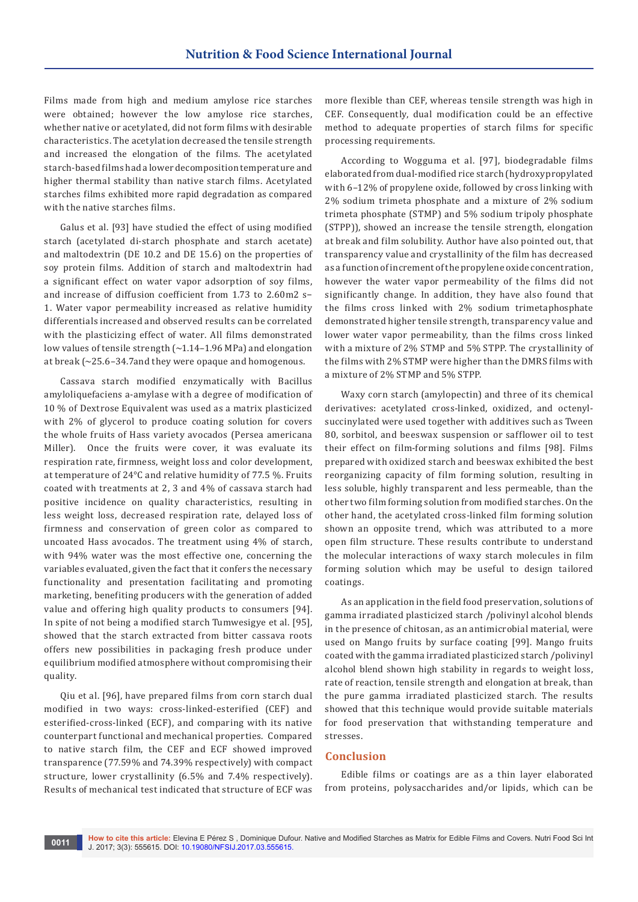Films made from high and medium amylose rice starches were obtained; however the low amylose rice starches, whether native or acetylated, did not form films with desirable characteristics. The acetylation decreased the tensile strength and increased the elongation of the films. The acetylated starch-based films had a lower decomposition temperature and higher thermal stability than native starch films. Acetylated starches films exhibited more rapid degradation as compared with the native starches films.

Galus et al. [93] have studied the effect of using modified starch (acetylated di-starch phosphate and starch acetate) and maltodextrin (DE 10.2 and DE 15.6) on the properties of soy protein films. Addition of starch and maltodextrin had a significant effect on water vapor adsorption of soy films, and increase of diffusion coefficient from 1.73 to 2.60m2 s− 1. Water vapor permeability increased as relative humidity differentials increased and observed results can be correlated with the plasticizing effect of water. All films demonstrated low values of tensile strength (~1.14–1.96 MPa) and elongation at break (~25.6–34.7and they were opaque and homogenous.

Cassava starch modified enzymatically with Bacillus amyloliquefaciens a-amylase with a degree of modification of 10 % of Dextrose Equivalent was used as a matrix plasticized with 2% of glycerol to produce coating solution for covers the whole fruits of Hass variety avocados (Persea americana Miller). Once the fruits were cover, it was evaluate its respiration rate, firmness, weight loss and color development, at temperature of 24°C and relative humidity of 77.5 %. Fruits coated with treatments at 2, 3 and 4% of cassava starch had positive incidence on quality characteristics, resulting in less weight loss, decreased respiration rate, delayed loss of firmness and conservation of green color as compared to uncoated Hass avocados. The treatment using 4% of starch, with 94% water was the most effective one, concerning the variables evaluated, given the fact that it confers the necessary functionality and presentation facilitating and promoting marketing, benefiting producers with the generation of added value and offering high quality products to consumers [94]. In spite of not being a modified starch Tumwesigye et al. [95], showed that the starch extracted from bitter cassava roots offers new possibilities in packaging fresh produce under equilibrium modified atmosphere without compromising their quality.

Qiu et al. [96], have prepared films from corn starch dual modified in two ways: cross-linked-esterified (CEF) and esterified-cross-linked (ECF), and comparing with its native counterpart functional and mechanical properties. Compared to native starch film, the CEF and ECF showed improved transparence (77.59% and 74.39% respectively) with compact structure, lower crystallinity (6.5% and 7.4% respectively). Results of mechanical test indicated that structure of ECF was

more flexible than CEF, whereas tensile strength was high in CEF. Consequently, dual modification could be an effective method to adequate properties of starch films for specific processing requirements.

According to Wogguma et al. [97], biodegradable films elaborated from dual-modified rice starch (hydroxypropylated with 6–12% of propylene oxide, followed by cross linking with 2% sodium trimeta phosphate and a mixture of 2% sodium trimeta phosphate (STMP) and 5% sodium tripoly phosphate (STPP)), showed an increase the tensile strength, elongation at break and film solubility. Author have also pointed out, that transparency value and crystallinity of the film has decreased as a function of increment of the propylene oxide concentration, however the water vapor permeability of the films did not significantly change. In addition, they have also found that the films cross linked with 2% sodium trimetaphosphate demonstrated higher tensile strength, transparency value and lower water vapor permeability, than the films cross linked with a mixture of 2% STMP and 5% STPP. The crystallinity of the films with 2% STMP were higher than the DMRS films with a mixture of 2% STMP and 5% STPP.

Waxy corn starch (amylopectin) and three of its chemical derivatives: acetylated cross-linked, oxidized, and octenylsuccinylated were used together with additives such as Tween 80, sorbitol, and beeswax suspension or safflower oil to test their effect on film-forming solutions and films [98]. Films prepared with oxidized starch and beeswax exhibited the best reorganizing capacity of film forming solution, resulting in less soluble, highly transparent and less permeable, than the other two film forming solution from modified starches. On the other hand, the acetylated cross-linked film forming solution shown an opposite trend, which was attributed to a more open film structure. These results contribute to understand the molecular interactions of waxy starch molecules in film forming solution which may be useful to design tailored coatings.

As an application in the field food preservation, solutions of gamma irradiated plasticized starch /polivinyl alcohol blends in the presence of chitosan, as an antimicrobial material, were used on Mango fruits by surface coating [99]. Mango fruits coated with the gamma irradiated plasticized starch /polivinyl alcohol blend shown high stability in regards to weight loss, rate of reaction, tensile strength and elongation at break, than the pure gamma irradiated plasticized starch. The results showed that this technique would provide suitable materials for food preservation that withstanding temperature and stresses.

#### **Conclusion**

Edible films or coatings are as a thin layer elaborated from proteins, polysaccharides and/or lipids, which can be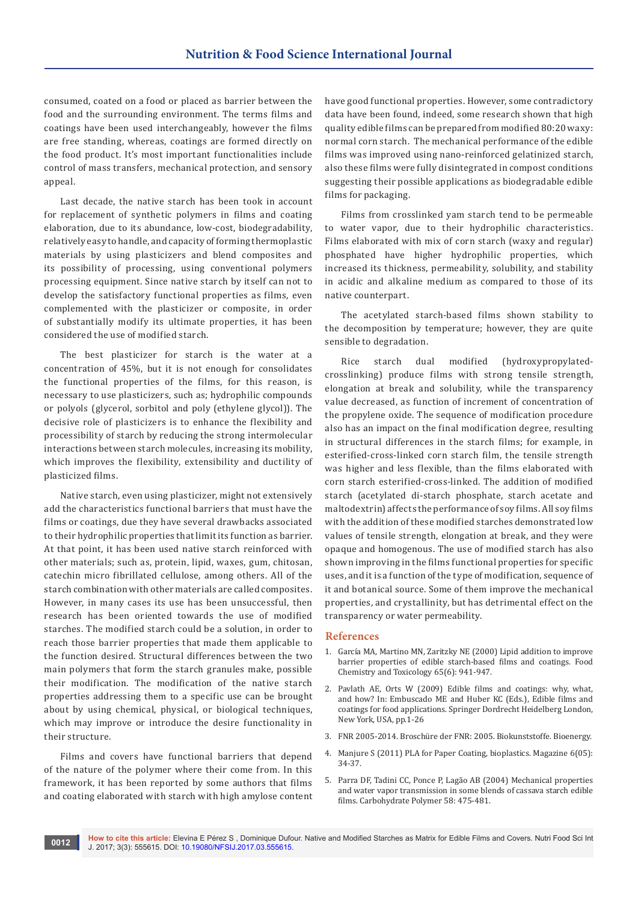consumed, coated on a food or placed as barrier between the food and the surrounding environment. The terms films and coatings have been used interchangeably, however the films are free standing, whereas, coatings are formed directly on the food product. It's most important functionalities include control of mass transfers, mechanical protection, and sensory appeal.

Last decade, the native starch has been took in account for replacement of synthetic polymers in films and coating elaboration, due to its abundance, low-cost, biodegradability, relatively easy to handle, and capacity of forming thermoplastic materials by using plasticizers and blend composites and its possibility of processing, using conventional polymers processing equipment. Since native starch by itself can not to develop the satisfactory functional properties as films, even complemented with the plasticizer or composite, in order of substantially modify its ultimate properties, it has been considered the use of modified starch.

The best plasticizer for starch is the water at a concentration of 45%, but it is not enough for consolidates the functional properties of the films, for this reason, is necessary to use plasticizers, such as; hydrophilic compounds or polyols (glycerol, sorbitol and poly (ethylene glycol)). The decisive role of plasticizers is to enhance the flexibility and processibility of starch by reducing the strong intermolecular interactions between starch molecules, increasing its mobility, which improves the flexibility, extensibility and ductility of plasticized films.

Native starch, even using plasticizer, might not extensively add the characteristics functional barriers that must have the films or coatings, due they have several drawbacks associated to their hydrophilic properties that limit its function as barrier. At that point, it has been used native starch reinforced with other materials; such as, protein, lipid, waxes, gum, chitosan, catechin micro fibrillated cellulose, among others. All of the starch combination with other materials are called composites. However, in many cases its use has been unsuccessful, then research has been oriented towards the use of modified starches. The modified starch could be a solution, in order to reach those barrier properties that made them applicable to the function desired. Structural differences between the two main polymers that form the starch granules make, possible their modification. The modification of the native starch properties addressing them to a specific use can be brought about by using chemical, physical, or biological techniques, which may improve or introduce the desire functionality in their structure.

Films and covers have functional barriers that depend of the nature of the polymer where their come from. In this framework, it has been reported by some authors that films and coating elaborated with starch with high amylose content have good functional properties. However, some contradictory data have been found, indeed, some research shown that high quality edible films can be prepared from modified 80:20 waxy: normal corn starch. The mechanical performance of the edible films was improved using nano-reinforced gelatinized starch, also these films were fully disintegrated in compost conditions suggesting their possible applications as biodegradable edible films for packaging.

Films from crosslinked yam starch tend to be permeable to water vapor, due to their hydrophilic characteristics. Films elaborated with mix of corn starch (waxy and regular) phosphated have higher hydrophilic properties, which increased its thickness, permeability, solubility, and stability in acidic and alkaline medium as compared to those of its native counterpart.

The acetylated starch-based films shown stability to the decomposition by temperature; however, they are quite sensible to degradation.

Rice starch dual modified (hydroxypropylatedcrosslinking) produce films with strong tensile strength, elongation at break and solubility, while the transparency value decreased, as function of increment of concentration of the propylene oxide. The sequence of modification procedure also has an impact on the final modification degree, resulting in structural differences in the starch films; for example, in esterified-cross-linked corn starch film, the tensile strength was higher and less flexible, than the films elaborated with corn starch esterified-cross-linked. The addition of modified starch (acetylated di-starch phosphate, starch acetate and maltodextrin) affects the performance of soy films. All soy films with the addition of these modified starches demonstrated low values of tensile strength, elongation at break, and they were opaque and homogenous. The use of modified starch has also shown improving in the films functional properties for specific uses, and it is a function of the type of modification, sequence of it and botanical source. Some of them improve the mechanical properties, and crystallinity, but has detrimental effect on the transparency or water permeability.

#### **References**

- 1. Garc[ía MA, Martino MN, Zaritzky NE \(2000\) Lipid addition to improve](http://onlinelibrary.wiley.com/doi/10.1111/j.1365-2621.2000.tb09397.x/abstract)  [barrier properties of edible starch-based films and coatings. Food](http://onlinelibrary.wiley.com/doi/10.1111/j.1365-2621.2000.tb09397.x/abstract)  [Chemistry and Toxicology 65\(6\): 941-947.](http://onlinelibrary.wiley.com/doi/10.1111/j.1365-2621.2000.tb09397.x/abstract)
- 2. Pavlath AE, Orts W (2009) Edible films and coatings: why, what, and how? In: Embuscado ME and Huber KC (Eds.), Edible films and coatings for food applications. Springer Dordrecht Heidelberg London, New York, USA, pp.1-26
- 3. [FNR 2005-2014. Broschüre der FNR: 2005. Biokunststoffe. Bioenergy.](https://mediathek.fnr.de/media/downloadable/files/samples/b/r/brosch.biokunststoffe-web-v01_1.pdf.)
- 4. [Manjure S \(2011\) PLA for Paper Coating, bioplastics. Magazine 6\(05\):](http://www.natur-tec.com/pdf/news/PLA_for_paper_coating.pdf)  [34-37.](http://www.natur-tec.com/pdf/news/PLA_for_paper_coating.pdf)
- 5. [Parra DF, Tadini CC, Ponce P, Lagão AB \(2004\) Mechanical properties](http://agris.fao.org/agris-search/search.do?recordID=US201301001706)  [and water vapor transmission in some blends of cassava starch edible](http://agris.fao.org/agris-search/search.do?recordID=US201301001706)  [films. Carbohydrate Polymer 58: 475-481.](http://agris.fao.org/agris-search/search.do?recordID=US201301001706)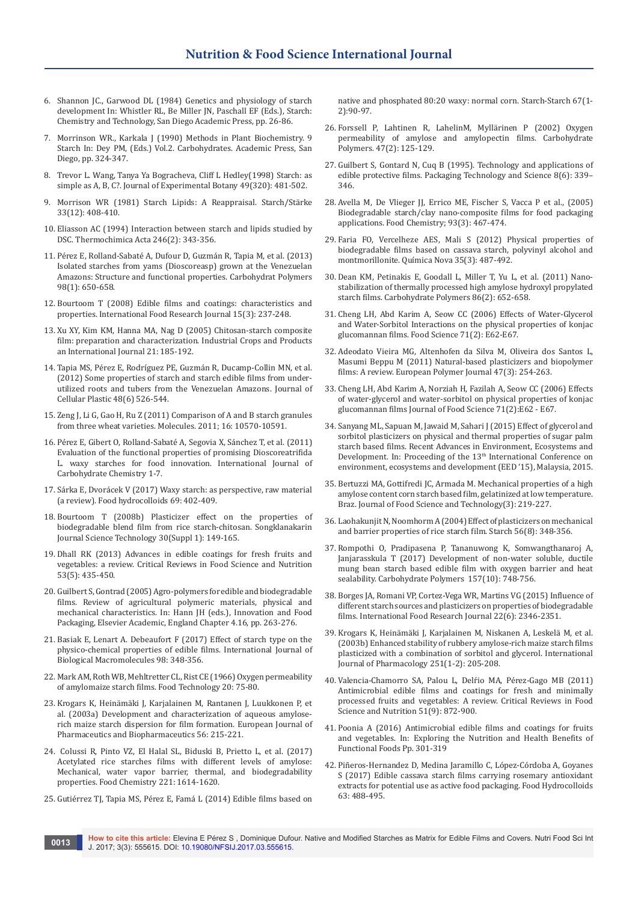- 6. Shannon JC., Garwood DL (1984) Genetics and physiology of starch development In: Whistler RL, Be Miller JN, Paschall EF (Eds.), Starch: Chemistry and Technology, San Diego Academic Press, pp. 26-86.
- 7. Morrinson WR., Karkala J (1990) Methods in Plant Biochemistry. 9 Starch In: Dey PM, (Eds.) Vol.2. Carbohydrates. Academic Press, San Diego, pp. 324-347.
- 8. [Trevor L. Wang, Tanya Ya Bogracheva, Cliff L Hedley\(1998\) Starch: as](https://academic.oup.com/jxb/article/49/320/481/514900/Starch-as-simple-as-A-B-C)  [simple as A, B, C?. Journal of Experimental Botany 49\(320\): 481-502.](https://academic.oup.com/jxb/article/49/320/481/514900/Starch-as-simple-as-A-B-C)
- 9. [Morrison WR \(1981\) Starch Lipids: A Reappraisal. Starch/Stärke](http://onlinelibrary.wiley.com/doi/10.1002/star.19810331203/full)  [33\(12\): 408-410.](http://onlinelibrary.wiley.com/doi/10.1002/star.19810331203/full)
- 10. Eliasson AC (1994) Interaction between starch and lipids studied by DSC. Thermochimica Acta 246(2): 343-356.
- 11. [Pérez E, Rolland-Sabaté A, Dufour D, Guzmán R, Tapia M, et al. \(2013\)](https://www.ncbi.nlm.nih.gov/pubmed/23987395)  [Isolated starches from yams \(Dioscoreasp\) grown at the Venezuelan](https://www.ncbi.nlm.nih.gov/pubmed/23987395)  [Amazons: Structure and functional properties. Carbohydrat Polymers](https://www.ncbi.nlm.nih.gov/pubmed/23987395)  [98\(1\): 650-658.](https://www.ncbi.nlm.nih.gov/pubmed/23987395)
- 12. [Bourtoom T \(2008\) Edible films and coatings: characteristics and](http://www.ifrj.upm.edu.my/15%20(3)%202008/01.%20Bourtoom,%20T.pdf)  [properties. International Food Research Journal 15\(3\): 237-248.](http://www.ifrj.upm.edu.my/15%20(3)%202008/01.%20Bourtoom,%20T.pdf)
- 13. [Xu XY, Kim KM, Hanna MA, Nag D \(2005\) Chitosan-starch composite](http://www.academia.edu/31330532/Chitosan_starch_composite_film_preparation_and_characterization)  [film: preparation and characterization. Industrial Crops and Products](http://www.academia.edu/31330532/Chitosan_starch_composite_film_preparation_and_characterization)  [an International Journal 21: 185-192.](http://www.academia.edu/31330532/Chitosan_starch_composite_film_preparation_and_characterization)
- 14. [Tapia MS, Pérez E, Rodríguez PE, Guzmán R, Ducamp-Collin MN, et al.](http://journals.sagepub.com/doi/abs/10.1177/0021955X12445291)  [\(2012\) Some properties of starch and starch edible films from under](http://journals.sagepub.com/doi/abs/10.1177/0021955X12445291)[utilized roots and tubers from the Venezuelan Amazons. Journal of](http://journals.sagepub.com/doi/abs/10.1177/0021955X12445291)  [Cellular Plastic 48\(6\) 526-544.](http://journals.sagepub.com/doi/abs/10.1177/0021955X12445291)
- 15. [Zeng J, Li G, Gao H, Ru Z \(2011\) Comparison of A and B starch granules](https://www.ncbi.nlm.nih.gov/pubmed/22183883)  [from three wheat varieties. Molecules. 2011; 16: 10570-10591.](https://www.ncbi.nlm.nih.gov/pubmed/22183883)
- 16. [Pérez E, Gibert O, Rolland-Sabaté A, Segovia X, Sánchez T, et al. \(2011\)](https://www.hindawi.com/archive/2011/165638/)  [Evaluation of the functional properties of promising Dioscoreatrifida](https://www.hindawi.com/archive/2011/165638/)  [L. waxy starches for food innovation. International Journal of](https://www.hindawi.com/archive/2011/165638/)  [Carbohydrate Chemistry 1-7.](https://www.hindawi.com/archive/2011/165638/)
- 17. Sárka E, Dvorácek V (2017) Waxy starch: as perspective, raw material (a review). Food hydrocolloids 69: 402-409.
- 18. [Bourtoom T \(2008b\) Plasticizer effect on the properties of](http://www.thaiscience.info/journals/Article/SONG/10617801.pdf)  [biodegradable blend film from rice starch-chitosan. Songklanakarin](http://www.thaiscience.info/journals/Article/SONG/10617801.pdf)  [Journal Science Technology 30\(Suppl 1\): 149-165.](http://www.thaiscience.info/journals/Article/SONG/10617801.pdf)
- 19. [Dhall RK \(2013\) Advances in edible coatings for fresh fruits and](https://www.ncbi.nlm.nih.gov/pubmed/23391012)  vegetables: a review. [Critical Reviews in Food Science and Nutrition](https://www.ncbi.nlm.nih.gov/pubmed/23391012) [53\(5\): 435-450.](https://www.ncbi.nlm.nih.gov/pubmed/23391012)
- 20. Guilbert S, Gontrad (2005) Agro-polymers for edible and biodegradable films. Review of agricultural polymeric materials, physical and mechanical characteristics. In: Hann JH (eds.), Innovation and Food Packaging, Elsevier Academic, England Chapter 4.16, pp. 263-276.
- 21. [Basiak E, Lenart A. Debeaufort F \(2017\) Effect of starch type on the](https://www.ncbi.nlm.nih.gov/pubmed/28137462)  [physico-chemical properties of edible films.](https://www.ncbi.nlm.nih.gov/pubmed/28137462) International Journal of [Biological Macromolecules](https://www.ncbi.nlm.nih.gov/pubmed/28137462) 98: 348-356.
- 22. Mark AM, Roth WB, Mehltretter CL, Rist CE (1966) Oxygen permeability of amylomaize starch films. Food Technology 20: 75-80.
- 23. Krogars K, Heinämäki J, Karjalainen M, Rantanen J, Luukkonen P, et al. (2003a) Development and characterization of aqueous amyloserich maize starch dispersion for film formation. European Journal of Pharmaceutics and Biopharmaceutics 56: 215-221.
- 24. [Colussi R, Pinto VZ, El Halal SL, Biduski B, Prietto L, et al. \(2017\)](https://www.ncbi.nlm.nih.gov/pubmed/27979137)  [Acetylated rice starches films with different levels of amylose:](https://www.ncbi.nlm.nih.gov/pubmed/27979137)  [Mechanical, water vapor barrier, thermal, and biodegradability](https://www.ncbi.nlm.nih.gov/pubmed/27979137)  [properties. Food Chemistry 221: 1614-1620.](https://www.ncbi.nlm.nih.gov/pubmed/27979137)
- 25. Gutiérrez TJ, Tapia MS, Pérez E, Famá L (2014) Edible films based on

native and phosphated 80:20 waxy: normal corn. Starch-Starch 67(1- 2):90-97[.](http://onlinelibrary.wiley.com/doi/10.1002/star.201400164/abstract)

- 26. Forssell P, Lahtinen R, LahelinM, Myllärinen P (2002) Oxygen permeability of amylose and amylopectin films. Carbohydrate Polymers. 47(2): 125-129.
- 27. [Guilbert S, Gontard N, Cuq B \(1995\). Technology and applications of](http://onlinelibrary.wiley.com/doi/10.1002/pts.2770080607/abstract)  [edible protective films. Packaging Technology and Science 8\(6\): 339–](http://onlinelibrary.wiley.com/doi/10.1002/pts.2770080607/abstract) [346.](http://onlinelibrary.wiley.com/doi/10.1002/pts.2770080607/abstract)
- 28. [Avella M, De Vlieger JJ, Errico ME, Fischer S, Vacca P et al., \(2005\)](http://agris.fao.org/agris-search/search.do?recordID=US201301007855)  [Biodegradable starch/clay nano-composite films for food packaging](http://agris.fao.org/agris-search/search.do?recordID=US201301007855)  [applications. Food Chemistry; 93\(3\): 467-474.](http://agris.fao.org/agris-search/search.do?recordID=US201301007855)
- 29. [Faria FO, Vercelheze AES, Mali S \(2012\) Physical properties of](http://www.scielo.br/scielo.php?script=sci_arttext&pid=S0100-40422012000300009)  [biodegradable films based on cassava starch, polyvinyl alcohol and](http://www.scielo.br/scielo.php?script=sci_arttext&pid=S0100-40422012000300009)  [montmorillonite. Química Nova 35\(3\): 487-492.](http://www.scielo.br/scielo.php?script=sci_arttext&pid=S0100-40422012000300009)
- 30. [Dean KM, Petinakis E, Goodall L, Miller T, Yu L, et al. \(2011\) Nano](http://agris.fao.org/agris-search/search.do?recordID=US201600050250)[stabilization of thermally processed high amylose hydroxyl propylated](http://agris.fao.org/agris-search/search.do?recordID=US201600050250)  [starch films. Carbohydrate Polymers 86\(2\): 652-658.](http://agris.fao.org/agris-search/search.do?recordID=US201600050250)
- 31. [Cheng LH, Abd Karim A, Seow CC \(2006\) Effects of Water-Glycerol](http://onlinelibrary.wiley.com/doi/10.1111/j.1365-2621.2006.tb08898.x/abstract)  [and Water-Sorbitol Interactions on the physical properties of konjac](http://onlinelibrary.wiley.com/doi/10.1111/j.1365-2621.2006.tb08898.x/abstract)  [glucomannan films. Food Science 71\(2\): E62-E67.](http://onlinelibrary.wiley.com/doi/10.1111/j.1365-2621.2006.tb08898.x/abstract)
- 32. [Adeodato Vieira MG, Altenhofen da Silva M, Oliveira dos Santos L,](https://core.ac.uk/download/pdf/81119243.pdf)  [Masumi Beppu M \(2011\) Natural-based plasticizers and biopolymer](https://core.ac.uk/download/pdf/81119243.pdf)  [films: A review. European Polymer Journal 47\(3\): 254-263.](https://core.ac.uk/download/pdf/81119243.pdf)
- 33. [Cheng LH, Abd Karim A, Norziah H, Fazilah A, Seow CC \(2006\) Effects](http:/eprints.usm.my)  [of water-glycerol and water-sorbitol on physical properties of konjac](http:/eprints.usm.my)  [glucomannan films](http:/eprints.usm.my) Journal of Food Science 71(2):E62 - E67.
- 34. [Sanyang ML, Sapuan M, Jawaid M, Sahari J \(2015\) Effect of glycerol and](http://www.wseas.us/e-library/conferences/2015/Malaysia/ENVIR/ENVIR-22.pdf)  [sorbitol plasticizers on physical and thermal properties of sugar palm](http://www.wseas.us/e-library/conferences/2015/Malaysia/ENVIR/ENVIR-22.pdf)  [starch based films. Recent Advances in Environment, Ecosystems and](http://www.wseas.us/e-library/conferences/2015/Malaysia/ENVIR/ENVIR-22.pdf)  Development. In: Proceeding of the 13<sup>th</sup> International Conference on [environment, ecosystems and development \(EED '15\), Malaysia, 2015.](http://www.wseas.us/e-library/conferences/2015/Malaysia/ENVIR/ENVIR-22.pdf)
- 35. [Bertuzzi MA, Gottifredi JC, Armada M. Mechanical properties of a high](http://www.scielo.br/scielo.php?script=sci_arttext&pid=S1981-67232012000300005&lng=en&tlng=en)  [amylose content corn starch based film, gelatinized at low temperature.](http://www.scielo.br/scielo.php?script=sci_arttext&pid=S1981-67232012000300005&lng=en&tlng=en)  [Braz. Journal of Food Science and Technology\(3\): 219-227.](http://www.scielo.br/scielo.php?script=sci_arttext&pid=S1981-67232012000300005&lng=en&tlng=en)
- 36. [Laohakunjit N, Noomhorm A \(2004\) Effect of plasticizers on mechanical](http://onlinelibrary.wiley.com/doi/10.1002/star.200300249/abstract)  [and barrier properties of rice starch film. Starch 56\(8\): 348-356.](http://onlinelibrary.wiley.com/doi/10.1002/star.200300249/abstract)
- 37. [Rompothi O, Pradipasena P, Tananuwong K, Somwangthanaroj A,](https://www.ncbi.nlm.nih.gov/pubmed/27987987)  [Janjarasskula T \(2017\) Development of non-water soluble, ductile](https://www.ncbi.nlm.nih.gov/pubmed/27987987)  [mung bean starch based edible film with oxygen barrier and heat](https://www.ncbi.nlm.nih.gov/pubmed/27987987)  [sealability. Carbohydrate Polymers 157\(10\): 748-756.](https://www.ncbi.nlm.nih.gov/pubmed/27987987)
- 38. [Borges JA, Romani VP, Cortez-Vega WR, Martins VG \(2015\) Influence of](http://www.ifrj.upm.edu.my/22%20(06)%202015/(24).pdf)  [different starch sources and plasticizers on properties of biodegradable](http://www.ifrj.upm.edu.my/22%20(06)%202015/(24).pdf)  [films. International Food Research Journal 22\(6\): 2346-2351.](http://www.ifrj.upm.edu.my/22%20(06)%202015/(24).pdf)
- 39. [Krogars K, Heinämäki J, Karjalainen M, Niskanen A, Leskelä M, et al.](http://europepmc.org/abstract/med/12527190)  [\(2003b\) Enhanced stability of rubbery amylose-rich maize starch films](http://europepmc.org/abstract/med/12527190)  [plasticized with a combination of sorbitol and glycerol. International](http://europepmc.org/abstract/med/12527190)  [Journal of Pharmacology 251\(1-2\): 205-208.](http://europepmc.org/abstract/med/12527190)
- 40. [Valencia-Chamorro SA, Palou L, Delŕio MA, Pé](https://www.ncbi.nlm.nih.gov/pubmed/21888536)rez-Gago MB (2011) [Antimicrobial edible films and coatings for fresh and minimally](https://www.ncbi.nlm.nih.gov/pubmed/21888536)  [processed fruits and vegetables: A review. Critical Reviews in Food](https://www.ncbi.nlm.nih.gov/pubmed/21888536)  [Science and Nutrition 51\(9\): 872-900.](https://www.ncbi.nlm.nih.gov/pubmed/21888536)
- 41. Poonia A (2016) Antimicrobial edible films and coatings for fruits and vegetables. In: Exploring the Nutrition and Health Benefits of Functional Foods Pp. 301-319
- 42. [Piñeros-Hernandez D, Medina Jaramillo C, López-Córdoba A, Goyanes](https://www.deepdyve.com/lp/elsevier/edible-cassava-starch-films-carrying-rosemary-antioxidant-extracts-for-g5jFqZZr10)  [S \(2017\) Edible cassava starch films carrying rosemary antioxidant](https://www.deepdyve.com/lp/elsevier/edible-cassava-starch-films-carrying-rosemary-antioxidant-extracts-for-g5jFqZZr10)  [extracts for potential use as active food packaging. Food Hydrocolloids](https://www.deepdyve.com/lp/elsevier/edible-cassava-starch-films-carrying-rosemary-antioxidant-extracts-for-g5jFqZZr10)  [63: 488-495.](https://www.deepdyve.com/lp/elsevier/edible-cassava-starch-films-carrying-rosemary-antioxidant-extracts-for-g5jFqZZr10)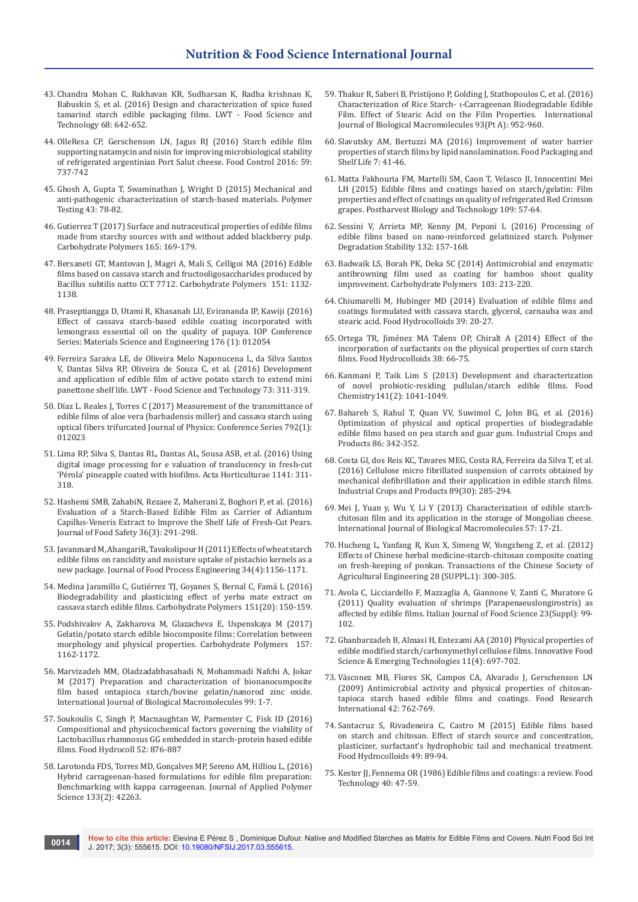- 43. [Chandra Mohan C, Rakhavan KR, Sudharsan K, Radha krishnan K,](http://www.academia.edu/25038048/Design_and_characterization_of_spice_fused_tamarind_starch_edible_packaging_films)  [Babuskin S, et al. \(2016\) Design and characterization of spice fused](http://www.academia.edu/25038048/Design_and_characterization_of_spice_fused_tamarind_starch_edible_packaging_films)  [tamarind starch edible packaging films. LWT - Food Science and](http://www.academia.edu/25038048/Design_and_characterization_of_spice_fused_tamarind_starch_edible_packaging_films)  [Technology 68: 642-652.](http://www.academia.edu/25038048/Design_and_characterization_of_spice_fused_tamarind_starch_edible_packaging_films)
- 44. [OlleResa CP, Gerschenson LN, Jagus RJ \(2016\) Starch edible film](https://www.deepdyve.com/lp/elsevier/starch-edible-film-supporting-natamycin-and-nisin-for-improving-sN3FRvpMCL)  [supporting natamycin and nisin for improving microbiological stability](https://www.deepdyve.com/lp/elsevier/starch-edible-film-supporting-natamycin-and-nisin-for-improving-sN3FRvpMCL)  [of refrigerated argentinian Port Salut cheese. Food Control 2016: 59:](https://www.deepdyve.com/lp/elsevier/starch-edible-film-supporting-natamycin-and-nisin-for-improving-sN3FRvpMCL)  [737-742](https://www.deepdyve.com/lp/elsevier/starch-edible-film-supporting-natamycin-and-nisin-for-improving-sN3FRvpMCL)
- 45. [Ghosh A, Gupta T, Swaminathan J, Wright D \(2015\) Mechanical and](https://www.infona.pl/resource/bwmeta1.element.elsevier-6d570992-e278-318e-b4c8-4aa3179f9a3a)  [anti-pathogenic characterization of starch-based materials. Polymer](https://www.infona.pl/resource/bwmeta1.element.elsevier-6d570992-e278-318e-b4c8-4aa3179f9a3a)  [Testing 43: 78-82.](https://www.infona.pl/resource/bwmeta1.element.elsevier-6d570992-e278-318e-b4c8-4aa3179f9a3a)
- 46. Gutierrez T (2017) Surface and nutraceutical properties of edible films made from starchy sources with and without added blackberry pulp. Carbohydrate Polymers 165: 169-179.
- 47. [Bersaneti GT, Mantovan J, Magri A, Mali S, Celligoi MA \(2016\) Edible](https://www.ncbi.nlm.nih.gov/pubmed/27474664)  [films based on cassava starch and fructooligosaccharides produced by](https://www.ncbi.nlm.nih.gov/pubmed/27474664)  [Bacillus subtilis natto CCT 7712. Carbohydrate Polymers 151: 1132-](https://www.ncbi.nlm.nih.gov/pubmed/27474664) [1138.](https://www.ncbi.nlm.nih.gov/pubmed/27474664)
- 48. [Praseptiangga D, Utami R, Khasanah LU, Evirananda IP, Kawiji \(2016\)](http://iopscience.iop.org/article/10.1088/1757-899X/176/1/012054)  [Effect of cassava starch-based edible coating incorporated with](http://iopscience.iop.org/article/10.1088/1757-899X/176/1/012054)  [lemongrass essential oil on the quality of papaya. IOP Conference](http://iopscience.iop.org/article/10.1088/1757-899X/176/1/012054)  [Series: Materials Science and Engineering 176 \(1\): 012054](http://iopscience.iop.org/article/10.1088/1757-899X/176/1/012054)
- 49. [Ferreira Saraiva LE, de Oliveira Melo Naponucena L, da Silva Santos](http://www.pgalimentos.far.ufba.br/sites/pgalimentos.far.ufba.br/files/artigo_egressa_luciana.pdf)  [V, Dantas Silva RP, Oliveira de Souza C, et al. \(2016\) Development](http://www.pgalimentos.far.ufba.br/sites/pgalimentos.far.ufba.br/files/artigo_egressa_luciana.pdf)  [and application of edible film of active potato starch to extend mini](http://www.pgalimentos.far.ufba.br/sites/pgalimentos.far.ufba.br/files/artigo_egressa_luciana.pdf)  [panettone shelf life. LWT - Food Science and Technology 73: 311-319.](http://www.pgalimentos.far.ufba.br/sites/pgalimentos.far.ufba.br/files/artigo_egressa_luciana.pdf)
- 50. [Díaz L. Reales J, Torres C \(2017\) Measurement of the transmittance of](http://iopscience.iop.org/article/10.1088/1742-6596/792/1/012023)  [edible films of aloe vera \(barbadensis miller\) and cassava starch using](http://iopscience.iop.org/article/10.1088/1742-6596/792/1/012023)  [optical fibers trifurcated Journal of Physics: Conference Series 792\(1\):](http://iopscience.iop.org/article/10.1088/1742-6596/792/1/012023)  [012023](http://iopscience.iop.org/article/10.1088/1742-6596/792/1/012023)
- 51. [Lima RP, Silva S, Dantas RL, Dantas AL, Sousa ASB, et al. \(2016\) Using](http://www.actahort.org/books/1141/1141_39.htm)  [digital image processing for e valuation of translucency in fresh-cut](http://www.actahort.org/books/1141/1141_39.htm)  ['Pérola' pineapple coated with biofilms. Acta Horticulturae 1141: 311-](http://www.actahort.org/books/1141/1141_39.htm) [318.](http://www.actahort.org/books/1141/1141_39.htm)
- 52. [Hashemi SMB, ZahabiN, Rezaee Z, Maherani Z, Boghori P, et al. \(2016\)](http://onlinelibrary.wiley.com/doi/10.1111/jfs.12241/abstract)  [Evaluation of a Starch-Based Edible Film as Carrier of Adiantum](http://onlinelibrary.wiley.com/doi/10.1111/jfs.12241/abstract)  [Capillus-Veneris Extract to Improve the Shelf Life of Fresh-Cut Pears.](http://onlinelibrary.wiley.com/doi/10.1111/jfs.12241/abstract)  [Journal of Food Safety 36\(3\): 291-298.](http://onlinelibrary.wiley.com/doi/10.1111/jfs.12241/abstract)
- 53. [Javanmard M, AhangariR, Tavakolipour H \(2011\) Effects of wheat starch](http://onlinelibrary.wiley.com/doi/10.1111/j.1745-4530.2009.00520.x/abstract)  [edible films on rancidity and moisture uptake of pistachio kernels as a](http://onlinelibrary.wiley.com/doi/10.1111/j.1745-4530.2009.00520.x/abstract)  [new package. Journal of Food Process Engineering 34\(4\):1156-1171.](http://onlinelibrary.wiley.com/doi/10.1111/j.1745-4530.2009.00520.x/abstract)
- 54. [Medina Jaramillo C, Gutiérrez TJ, Goyanes S, Bernal C, Famá L \(2016\)](https://www.ncbi.nlm.nih.gov/pubmed/27474554)  [Biodegradability and plasticizing effect of yerba mate extract on](https://www.ncbi.nlm.nih.gov/pubmed/27474554)  [cassava starch edible films. Carbohydrate Polymers 151\(20\): 150-159.](https://www.ncbi.nlm.nih.gov/pubmed/27474554)
- 55. [Podshivalov A, Zakharova M, Glazacheva E, Uspenskaya M \(2017\)](https://www.ncbi.nlm.nih.gov/pubmed/27987819)  [Gelatin/potato starch edible biocomposite films: Correlation between](https://www.ncbi.nlm.nih.gov/pubmed/27987819)  [morphology and physical properties. Carbohydrate Polymers 157:](https://www.ncbi.nlm.nih.gov/pubmed/27987819)  [1162-1172.](https://www.ncbi.nlm.nih.gov/pubmed/27987819)
- 56. [Marvizadeh MM, Oladzadabbasabadi N, Mohammadi Nafchi A, Jokar](https://www.ncbi.nlm.nih.gov/pubmed/28232108)  [M \(2017\) Preparation and characterization of bionanocomposite](https://www.ncbi.nlm.nih.gov/pubmed/28232108)  [film based ontapioca starch/bovine gelatin/nanorod zinc oxide.](https://www.ncbi.nlm.nih.gov/pubmed/28232108)  [International Journal of Biological Macromolecules 99: 1-7.](https://www.ncbi.nlm.nih.gov/pubmed/28232108)
- 57. [Soukoulis C, Singh P, Macnaughtan W, Parmenter C, Fisk ID \(2016\)](https://www.ncbi.nlm.nih.gov/pubmed/26726280)  [Compositional and physicochemical factors governing the viability of](https://www.ncbi.nlm.nih.gov/pubmed/26726280)  [Lactobacillus rhamnosus GG embedded in starch-protein based edible](https://www.ncbi.nlm.nih.gov/pubmed/26726280)  [films. Food Hydrocoll 52: 876-887](https://www.ncbi.nlm.nih.gov/pubmed/26726280)
- 58. [Larotonda FDS, Torres MD, Gonçalves MP, Sereno AM, Hilliou L, \(2016\)](http://onlinelibrary.wiley.com/doi/10.1002/app.42263/abstract)  [Hybrid carrageenan-based formulations for edible film preparation:](http://onlinelibrary.wiley.com/doi/10.1002/app.42263/abstract)  [Benchmarking with kappa carrageenan. Journal of Applied Polymer](http://onlinelibrary.wiley.com/doi/10.1002/app.42263/abstract)  Science [133\(2\): 42263](http://onlinelibrary.wiley.com/doi/10.1002/app.42263/abstract).
- 59. [Thakur R, Saberi B, Pristijono P, Golding J, Stathopoulos C, et al. \(2016\)](https://www.ncbi.nlm.nih.gov/pubmed/27645927)  [Characterization of Rice Starch- ι-Carrageenan Biodegradable Edible](https://www.ncbi.nlm.nih.gov/pubmed/27645927)  [Film. Effect of Stearic Acid on the Film Properties. International](https://www.ncbi.nlm.nih.gov/pubmed/27645927)  [Journal of Biological Macromolecules](https://www.ncbi.nlm.nih.gov/pubmed/27645927) 93(Pt A): 952-960.
- 60. [Slavutsky AM, Bertuzzi MA \(2016\) Improvement of water barrier](http://daneshyari.com/article/preview/19821.pdf)  [properties of starch films by lipid nanolamination. Food Packaging and](http://daneshyari.com/article/preview/19821.pdf)  [Shelf Life 7: 41-46.](http://daneshyari.com/article/preview/19821.pdf)
- 61. [Matta Fakhouria FM, Martelli SM, Caon T, Velasco JI, Innocentini Mei](http://agris.fao.org/agris-search/search.do?recordID=US201600252916)  [LH \(2015\) Edible films and coatings based on starch/gelatin: Film](http://agris.fao.org/agris-search/search.do?recordID=US201600252916)  [properties and effect of coatings on quality of refrigerated Red Crimson](http://agris.fao.org/agris-search/search.do?recordID=US201600252916)  [grapes. Postharvest Biology and Technology 109: 57-64.](http://agris.fao.org/agris-search/search.do?recordID=US201600252916)
- 62. [Sessini V, Arrieta MP, Kenny JM, Peponi L \(2016\) Processing of](https://www.deepdyve.com/lp/elsevier/processing-of-edible-films-based-on-nanoreinforced-gelatinized-starch-VP0YTDN1XW)  [edible films based on nano-reinforced gelatinized starch. Polymer](https://www.deepdyve.com/lp/elsevier/processing-of-edible-films-based-on-nanoreinforced-gelatinized-starch-VP0YTDN1XW)  [Degradation Stability 132: 157-168.](https://www.deepdyve.com/lp/elsevier/processing-of-edible-films-based-on-nanoreinforced-gelatinized-starch-VP0YTDN1XW)
- 63. [Badwaik LS, Borah PK, Deka SC \(2014\) Antimicrobial and enzymatic](https://www.ncbi.nlm.nih.gov/pubmed/24528722)  [antibrowning film used as coating for bamboo shoot quality](https://www.ncbi.nlm.nih.gov/pubmed/24528722)  [improvement. Carbohydrate Polymers 103: 213-220.](https://www.ncbi.nlm.nih.gov/pubmed/24528722)
- 64. [Chiumarelli M, Hubinger MD \(2014\) Evaluation of edible films and](https://www.tib.eu/en/search/id/BLSE%3ARN351204509/Evaluation-of-edible-films-and-coatings-formulated/)  [coatings formulated with cassava starch, glycerol, carnauba wax and](https://www.tib.eu/en/search/id/BLSE%3ARN351204509/Evaluation-of-edible-films-and-coatings-formulated/)  [stearic acid. Food Hydrocolloids 39: 20-27.](https://www.tib.eu/en/search/id/BLSE%3ARN351204509/Evaluation-of-edible-films-and-coatings-formulated/)
- 65. [Ortega TR, Jiménez MA Talens OP, Chiralt A \(2014\) Effect of the](https://riunet.upv.es/handle/10251/75088)  [incorporation of surfactants on the physical properties of corn starch](https://riunet.upv.es/handle/10251/75088)  [films. Food Hydrocolloids 38: 66-75.](https://riunet.upv.es/handle/10251/75088)
- 66. [Kanmani P, Taik Lim S \(2013\) Development and characterization](https://www.ncbi.nlm.nih.gov/pubmed/23790884)  [of novel probiotic-residing pullulan/starch edible films. Food](https://www.ncbi.nlm.nih.gov/pubmed/23790884)  [Chemistry141\(2\): 1041-1049.](https://www.ncbi.nlm.nih.gov/pubmed/23790884)
- 67. [Bahareh S, Rahul T, Quan VV, Suwimol C, John BG, et al. \(2016\)](http://agris.fao.org/agris-search/search.do?recordID=US201600275555)  [Optimization of physical and optical properties of biodegradable](http://agris.fao.org/agris-search/search.do?recordID=US201600275555)  [edible films based on pea starch and guar gum. Industrial Crops and](http://agris.fao.org/agris-search/search.do?recordID=US201600275555)  [Products 86: 342-352.](http://agris.fao.org/agris-search/search.do?recordID=US201600275555)
- 68. [Costa GI, dos Reis KC, Tavares MEG, Costa RA, Ferreira da Silva T, et al.](http://agris.fao.org/agris-search/search.do?recordID=US201600274331)  [\(2016\) Cellulose micro fibrillated suspension of carrots obtained by](http://agris.fao.org/agris-search/search.do?recordID=US201600274331)  [mechanical defibrillation and their application in edible starch films.](http://agris.fao.org/agris-search/search.do?recordID=US201600274331)  [Industrial Crops and Products 89\(30\): 285-294.](http://agris.fao.org/agris-search/search.do?recordID=US201600274331)
- 69. [Mei J, Yuan y, Wu Y, Li Y \(2013\) Characterization of edible starch](https://www.ncbi.nlm.nih.gov/pubmed/23500443)[chitosan film and its application in the storage of Mongolian cheese.](https://www.ncbi.nlm.nih.gov/pubmed/23500443)  [International Journal of Biological Macromolecules 57: 17-21.](https://www.ncbi.nlm.nih.gov/pubmed/23500443)
- 70. [Hucheng L, Yanfang R, Kun X, Simeng W, Yongzheng Z, et al. \(2012\)](http://www.ingentaconnect.com/content/tcsae/tcsae/2012/00000028/A00101s1/art00018)  [Effects of Chinese herbal medicine-starch-chitosan composite coating](http://www.ingentaconnect.com/content/tcsae/tcsae/2012/00000028/A00101s1/art00018)  [on fresh-keeping of ponkan. Transactions of the Chinese Society of](http://www.ingentaconnect.com/content/tcsae/tcsae/2012/00000028/A00101s1/art00018)  [Agricultural Engineering 28 \(SUPPL.1\): 300-305.](http://www.ingentaconnect.com/content/tcsae/tcsae/2012/00000028/A00101s1/art00018)
- 71. Avola C, Licciardello F, Mazzaglia A, Giannone V, Zanti C, Muratore G (2011) Quality evaluation of shrimps (Parapenaeuslongirostris) as affected by edible films. Italian Journal of Food Science 23(Suppl): 99- 102.
- 72. [Ghanbarzadeh B, Almasi H, Entezami AA \(2010\) Physical properties of](https://pubag.nal.usda.gov/catalog/578169)  [edible modified starch/carboxymethyl cellulose films. Innovative Food](https://pubag.nal.usda.gov/catalog/578169)  [Science & Emerging Technologies 11\(4\): 697-702.](https://pubag.nal.usda.gov/catalog/578169)
- 73. [Vásconez MB, Flores SK, Campos CA, Alvarado J, Gerschenson LN](http://agris.fao.org/agris-search/search.do?recordID=US201301643761)  [\(2009\) Antimicrobial activity and physical properties of chitosan](http://agris.fao.org/agris-search/search.do?recordID=US201301643761)[tapioca starch based edible films and coatings. Food Research](http://agris.fao.org/agris-search/search.do?recordID=US201301643761)  [International 42: 762-769.](http://agris.fao.org/agris-search/search.do?recordID=US201301643761)
- 74. Santacruz S, Rivadeneira C, Castro M (2015) Edible films based on starch and chitosan. Effect of starch source and concentration, plasticizer, surfactant's hydrophobic tail and mechanical treatment. Food Hydrocolloids 49: 89-94.
- 75. [Kester JJ, Fennema OR \(1986\) Edible films and coatings: a review. Food](http://agris.fao.org/agris-search/search.do?recordID=US8836195)  [Technology 40: 47-59.](http://agris.fao.org/agris-search/search.do?recordID=US8836195)